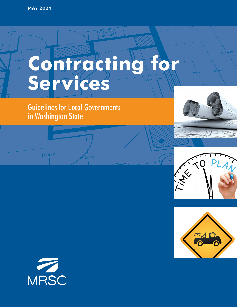# **Contracting for Services**

# Guidelines for Local Governments in Washington State

m-









 $100<sub>cm</sub>$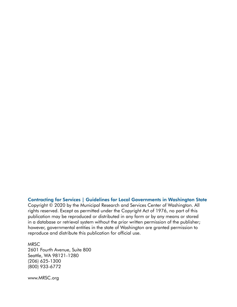#### Contracting for Services | Guidelines for Local Governments in Washington State

Copyright © 2020 by the Municipal Research and Services Center of Washington. All rights reserved. Except as permitted under the Copyright Act of 1976, no part of this publication may be reproduced or distributed in any form or by any means or stored in a database or retrieval system without the prior written permission of the publisher; however, governmental entities in the state of Washington are granted permission to reproduce and distribute this publication for official use.

#### MRSC

2601 Fourth Avenue, Suite 800 Seattle, WA 98121-1280 (206) 625-1300 (800) 933-6772

www.MRSC.org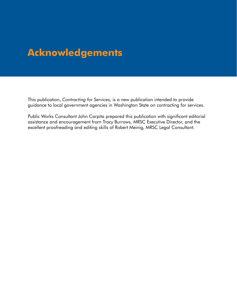# **Acknowledgements**

This publication, *Contracting for Services,* is a new publication intended to provide guidance to local government agencies in Washington State on contracting for services.

Public Works Consultant John Carpita prepared this publication with significant editorial assistance and encouragement from Tracy Burrows, MRSC Executive Director, and the excellent proofreading and editing skills of Robert Meinig, MRSC Legal Consultant.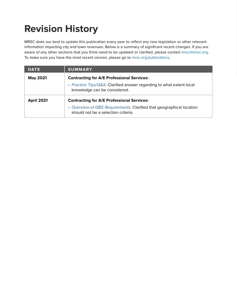# **Revision History**

MRSC does our best to update this publication every year to reflect any new legislation or other relevant information impacting city and town revenues. Below is a summary of significant recent changes. If you are aware of any other sections that you think need to be updated or clarified, please contact [mrsc@mrsc.org.](mailto:mrsc%40mrsc.org?subject=County%20Revenue%20Guide) To make sure you have the most recent version, please go to [mrsc.org/publications.](http://mrsc.org/publications)

| <b>DATE</b>       | <b>SUMMARY</b>                                                                                              |  |
|-------------------|-------------------------------------------------------------------------------------------------------------|--|
| <b>May 2021</b>   | <b>Contracting for A/E Professional Services:</b>                                                           |  |
|                   | • Practice Tips/Q&A. Clarified answer regarding to what extent local<br>knowledge can be considered.        |  |
| <b>April 2021</b> | <b>Contracting for A/E Professional Services:</b>                                                           |  |
|                   | • Overview of QBS Requirements. Clarified that geographical location<br>should not be a selection criteria. |  |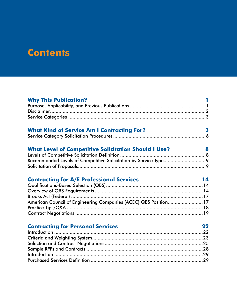# **Contents**

| <b>Why This Publication?</b>                                     |    |
|------------------------------------------------------------------|----|
|                                                                  |    |
|                                                                  |    |
|                                                                  |    |
| <b>What Kind of Service Am I Contracting For?</b>                | 3  |
|                                                                  |    |
|                                                                  |    |
| <b>What Level of Competitive Solicitation Should I Use?</b>      | 8  |
|                                                                  |    |
|                                                                  |    |
|                                                                  |    |
| <b>Contracting for A/E Professional Services</b>                 | 14 |
|                                                                  |    |
|                                                                  |    |
|                                                                  |    |
| American Council of Engineering Companies (ACEC) QBS Position 17 |    |
|                                                                  |    |
|                                                                  |    |
|                                                                  |    |
| <b>Contracting for Personal Services</b>                         | 22 |
|                                                                  |    |
|                                                                  |    |
|                                                                  |    |
|                                                                  |    |
|                                                                  |    |
|                                                                  |    |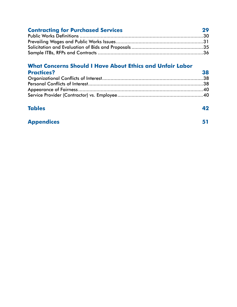#### **[Contracting for Purchased Services](#page-34-0) 29** Public Works Definitions [........................................................................................30](#page-35-0) [Prevailing Wages and Public Works Issues..............................................................31](#page-36-0) [Solicitation and Evaluation of Bids and Proposals](#page-40-0) ...................................................35 Sample ITBs, RFPs and Contracts [...........................................................................36](#page-41-0)

### **[What Concerns Should I Have About Ethics and Unfair Labor](#page-43-0)**

| <b>Practices?</b> | 38 |
|-------------------|----|
|                   |    |
|                   |    |
|                   |    |
|                   |    |

#### **[Tables](#page-47-0) 42**

#### **[Appendices](#page-56-0) 51**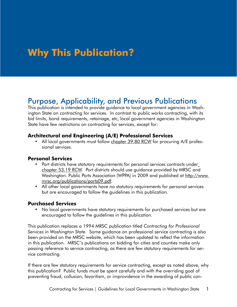# <span id="page-6-0"></span>**Why This Publication?**

# Purpose, Applicability, and Previous Publications

This publication is intended to provide guidance to local government agencies in Washington State on contracting for services. In contrast to public works contracting, with its bid limits, bond requirements, retainage, etc, local government agencies in Washington State have few restrictions on contracting for services, except for:

#### **Architectural and Engineering (A/E) Professional Services**

• All local governments must follow [chapter 39.80 RCW](http://apps.leg.wa.gov/rcw/default.aspx?cite=39.80) for procuring A/E professional services.

#### **Personal Services**

- Port districts have statutory requirements for personal services contracts under [chapter 53.19 RCW.](http://apps.leg.wa.gov/rcw/default.aspx?cite=53.19) Port districts should use guidance provided by MRSC and Washington. Public Ports Association (WPPA) in 2009 and published at [http://www.](http://www.mrsc.org/publications/ports09.pdf) [mrsc.org/publications/ports09.pdf](http://www.mrsc.org/publications/ports09.pdf).
- All other local governments have no statutory requirements for personal services but are encouraged to follow the guidelines in this publication.

#### **Purchased Services**

• No local governments have statutory requirements for purchased services but are encouraged to follow the guidelines in this publication.

This publication replaces a 1994 MRSC publication titled *Contracting for Professional Services in Washington State*. Some guidance on professional service contracting is also been provided on the MRSC website, which has been updated to reflect the information in this publication. MRSC's publications on bidding for cities and counties make only passing reference to service contracting, as there are few statutory requirements for service contracting.

If there are few statutory requirements for service contracting, except as noted above, why this publication? Public funds must be spent carefully and with the overriding goal of preventing fraud, collusion, favoritism, or improvidence in the awarding of public con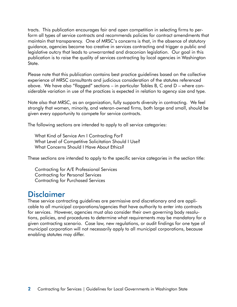<span id="page-7-0"></span>tracts. This publication encourages fair and open competition in selecting firms to perform all types of service contracts and recommends policies for contract amendments that maintain that transparency. One of MRSC's concerns is that, in the absence of statutory guidance, agencies become too creative in services contracting and trigger a public and legislative outcry that leads to unwarranted and draconian legislation. Our goal in this publication is to raise the quality of services contracting by local agencies in Washington State.

Please note that this publication contains best practice guidelines based on the collective experience of MRSC consultants and judicious consideration of the statutes referenced above. We have also "flagged" sections – in particular Tables B, C and D – where considerable variation in use of the practices is expected in relation to agency size and type.

Note also that MRSC, as an organization, fully supports diversity in contracting. We feel strongly that women, minority, and veteran-owned firms, both large and small, should be given every opportunity to compete for service contracts.

The following sections are intended to apply to all service categories:

What Kind of Service Am I Contracting For? What Level of Competitive Solicitation Should I Use? What Concerns Should I Have About Ethics?

These sections are intended to apply to the specific service categories in the section title:

Contracting for A/E Professional Services Contracting for Personal Services Contracting for Purchased Services

### Disclaimer

These service contracting guidelines are permissive and discretionary and are applicable to all municipal corporations/agencies that have authority to enter into contracts for services. However, agencies must also consider their own governing body resolutions, policies, and procedures to determine what requirements may be mandatory for a given contracting scenario. Case law, new regulations, or audit findings for one type of municipal corporation will not necessarily apply to all municipal corporations, because enabling statutes may differ.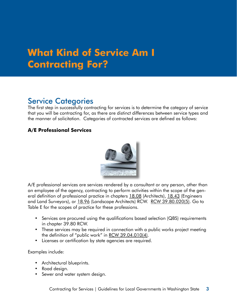# <span id="page-8-0"></span>**What Kind of Service Am I Contracting For?**

# Service Categories

The first step in successfully contracting for services is to determine the category of service that you will be contracting for, as there are distinct differences between service types and the manner of solicitation. Categories of contracted services are defined as follows:

#### **A/E Professional Services**



A/E professional services are services rendered by a consultant or any person, other than an employee of the agency, contracting to perform activities within the scope of the general definition of professional practice in chapters [18.08](http://apps.leg.wa.gov/rcw/default.aspx?cite=18.08) (Architects), [18.43](http://apps.leg.wa.gov/rcw/default.aspx?cite=18.43) (Engineers and Land Surveyors), or [18.96](http://apps.leg.wa.gov/rcw/default.aspx?cite=18.96) (Landscape Architects) RCW. [RCW 39.80.020\(5\).](http://apps.leg.wa.gov/rcw/default.aspx?cite=39.80.020) Go to Table E for the scopes of practice for these professions.

- Services are procured using the qualifications based selection (QBS) requirements in chapter 39.80 RCW.
- These services may be required in connection with a public works project meeting the definition of "public work" in [RCW 39.04.010\(4\)](http://apps.leg.wa.gov/rcw/default.aspx?cite=39.04.010).
- Licenses or certification by state agencies are required.

#### Examples include:

- Architectural blueprints.
- Road design.
- Sewer and water system design.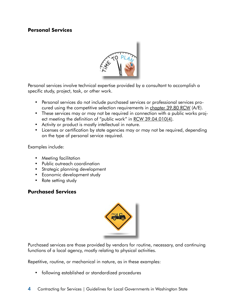#### **Personal Services**



Personal services involve technical expertise provided by a consultant to accomplish a specific study, project, task, or other work.

- Personal services do not include purchased services or professional services procured using the competitive selection requirements in [chapter 39.80 RCW](http://apps.leg.wa.gov/rcw/default.aspx?cite=39.80) (A/E).
- These services may or may not be required in connection with a public works proj-ect meeting the definition of "public work" in [RCW 39.04.010\(4\)](http://apps.leg.wa.gov/rcw/default.aspx?cite=39.04.010).
- Activity or product is mostly intellectual in nature.
- Licenses or certification by state agencies may or may not be required, depending on the type of personal service required.

Examples include:

- Meeting facilitation
- Public outreach coordination
- Strategic planning development
- Economic development study
- Rate setting study

#### **Purchased Services**



Purchased services are those provided by vendors for routine, necessary, and continuing functions of a local agency, mostly relating to physical activities.

Repetitive, routine, or mechanical in nature, as in these examples:

• following established or standardized procedures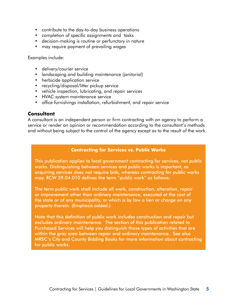- contribute to the day-to-day business operations
- completion of specific assignments and tasks
- decision-making is routine or perfunctory in nature
- may require payment of prevailing wages

Examples include:

- delivery/courier service
- landscaping and building maintenance (janitorial)
- herbicide application service
- recycling/disposal/litter pickup service
- vehicle inspection, lubricating, and repair services
- HVAC system maintenance service
- office furnishings installation, refurbishment, and repair service

#### **Consultant**

A consultant is an independent person or firm contracting with an agency to perform a service or render an opinion or recommendation according to the consultant's methods and without being subject to the control of the agency except as to the result of the work.

#### **Contracting for Services vs. Public Works**

This publication applies to local government contracting for services, not public works. Distinguishing between services and public works is important, as acquiring services does not require bids, whereas contracting for public works may. RCW 39.04.010 defines the term "public work" as follows:

The term public work shall include all work, construction, alteration, repair or improvement other than ordinary maintenance, executed at the cost of the state or of any municipality, or which is by law a lien or charge on any property therein. (Emphasis added.)

Note that this definition of public work includes construction and repair but excludes ordinary maintenance. The section of this publication related to Purchased Services will help you distinguish those types of activities that are within the gray area between repair and ordinary maintenance. See also MRSC's City and County Bidding Books for more information about contracting for public works.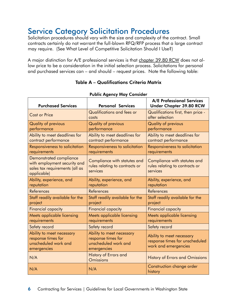# <span id="page-11-0"></span>Service Category Solicitation Procedures

Solicitation procedures should vary with the size and complexity of the contract. Small contracts certainly do not warrant the full-blown RFQ/RFP process that a large contract may require. (See What Level of Competitive Solicitation Should I Use?)

A major distinction for A/E professional services is that [chapter 39.80 RCW](http://apps.leg.wa.gov/rcw/default.aspx?cite=39.80) does not allow price to be a consideration in the initial selection process. Solicitations for personal and purchased services can – and should – request prices. Note the following table:

#### Table A – Qualifications Criteria Matrix

| <b>Purchased Services</b>                                                                                | <b>Personal Services</b>                                                               | <b>A/E Professional Services</b><br><b>Under Chapter 39.80 RCW</b>                  |
|----------------------------------------------------------------------------------------------------------|----------------------------------------------------------------------------------------|-------------------------------------------------------------------------------------|
| <b>Cost or Price</b>                                                                                     | Qualifications and fees or<br>costs                                                    | Qualifications first, then price -<br>after selection                               |
| <b>Quality of previous</b><br>performance                                                                | <b>Quality of previous</b><br>performance                                              | <b>Quality of previous</b><br>performance                                           |
| Ability to meet deadlines for<br>contract performance                                                    | Ability to meet deadlines for<br>contract performance                                  | Ability to meet deadlines for<br>contract performance                               |
| Responsiveness to solicitation<br>requirements                                                           | Responsiveness to solicitation<br>requirements                                         | Responsiveness to solicitation<br>requirements                                      |
| Demonstrated compliance<br>with employment security and<br>sales tax requirements (all as<br>applicable) | Compliance with statutes and<br>rules relating to contracts or<br>services             | Compliance with statutes and<br>rules relating to contracts or<br>services          |
| Ability, experience, and<br>reputation                                                                   | Ability, experience, and<br>reputation                                                 | Ability, experience, and<br>reputation                                              |
| References                                                                                               | References                                                                             | References                                                                          |
| Staff readily available for the<br>project                                                               | Staff readily available for the<br>project                                             | Staff readily available for the<br>project                                          |
| <b>Financial capacity</b>                                                                                | <b>Financial capacity</b>                                                              | <b>Financial capacity</b>                                                           |
| Meets applicable licensing<br>requirements                                                               | Meets applicable licensing<br>requirements                                             | Meets applicable licensing<br>requirements                                          |
| Safety record                                                                                            | Safety record                                                                          | Safety record                                                                       |
| Ability to meet necessary<br>response times for<br>unscheduled work and<br>emergencies                   | Ability to meet necessary<br>response times for<br>unscheduled work and<br>emergencies | Ability to meet necessary<br>response times for unscheduled<br>work and emergencies |
| N/A                                                                                                      | History of Errors and<br><b>Omissions</b>                                              | <b>History of Errors and Omissions</b>                                              |
| N/A                                                                                                      | N/A                                                                                    | Construction change order<br>history                                                |

#### Public Agency May Consider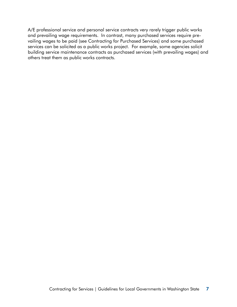A/E professional service and personal service contracts very rarely trigger public works and prevailing wage requirements. In contrast, many purchased services require prevailing wages to be paid (see Contracting for Purchased Services) and some purchased services can be solicited as a public works project. For example, some agencies solicit building service maintenance contracts as purchased services (with prevailing wages) and others treat them as public works contracts.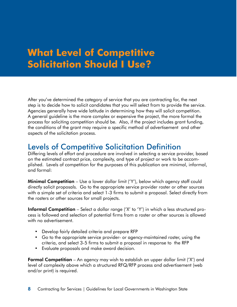# <span id="page-13-0"></span>**What Level of Competitive Solicitation Should I Use?**

After you've determined the category of service that you are contracting for, the next step is to decide how to solicit candidates that you will select from to provide the service. Agencies generally have wide latitude in determining how they will solicit competition. A general guideline is the more complex or expensive the project, the more formal the process for soliciting competition should be. Also, if the project includes grant funding, the conditions of the grant may require a specific method of advertisement and other aspects of the solicitation process.

### Levels of Competitive Solicitation Definition

Differing levels of effort and procedure are involved in selecting a service provider, based on the estimated contract price, complexity, and type of project or work to be accomplished. Levels of competition for the purposes of this publication are minimal, informal, and formal:

**Minimal Competition** – Use a lower dollar limit ('Y'), below which agency staff could directly solicit proposals. Go to the appropriate service provider roster or other sources with a simple set of criteria and select 1-3 firms to submit a proposal. Select directly from the rosters or other sources for small projects.

Informal Competition – Select a dollar range ('X' to 'Y') in which a less structured process is followed and selection of potential firms from a roster or other sources is allowed with no advertisement.

- Develop fairly detailed criteria and prepare RFP
- Go to the appropriate service provider- or agency-maintained roster, using the criteria, and select 3-5 firms to submit a proposal in response to the RFP
- Evaluate proposals and make award decision.

**Formal Competition** – An agency may wish to establish an upper dollar limit ('X') and level of complexity above which a structured RFQ/RFP process and advertisement (web and/or print) is required.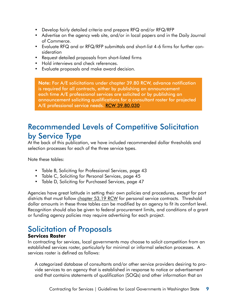- <span id="page-14-0"></span>• Develop fairly detailed criteria and prepare RFQ and/or RFQ/RFP
- Advertise on the agency web site, and/or in local papers and in the Daily Journal of Commerce.
- Evaluate RFQ and or RFQ/RFP submittals and short-list 4-6 firms for further consideration
- Request detailed proposals from short-listed firms
- Hold interviews and check references.
- Evaluate proposals and make award decision.

Note: For A/E solicitations under chapter 39.80 RCW, advance notification is required for all contracts, either by publishing an announcement each time A/E professional services are solicited or by publishing an announcement soliciting qualifications for a consultant roster for projected A/E professional service needs. [RCW 39.80.030.](http://apps.leg.wa.gov/rcw/default.aspx?cite=39.80.030)

# Recommended Levels of Competitive Solicitation by Service Type

At the back of this publication, we have included recommended dollar thresholds and selection processes for each of the three service types.

Note these tables:

- Table B, Soliciting for Professional Services, page 43
- Table C, Soliciting for Personal Services, page 45
- Table D, Soliciting for Purchased Services, page 47

Agencies have great latitude in setting their own policies and procedures, except for port districts that must follow [chapter 53.19 RCW](http://apps.leg.wa.gov/rcw/default.aspx?cite=53.19) for personal service contracts. Threshold dollar amounts in these three tables can be modified by an agency to fit its comfort level. Recognition should also be given to federal procurement limits, and conditions of a grant or funding agency policies may require advertising for each project.

# Solicitation of Proposals

#### **Services Roster**

In contracting for services, local governments may choose to solicit competition from an established services roster, particularly for minimal or informal selection processes. A services roster is defined as follows:

A categorized database of consultants and/or other service providers desiring to provide services to an agency that is established in response to notice or advertisement and that contains statements of qualification (SOQs) and other information that an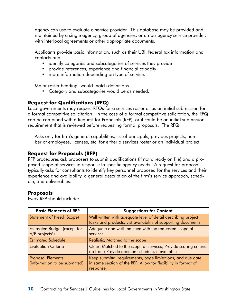agency can use to evaluate a service provider. This database may be provided and maintained by a single agency, group of agencies, or a non-agency service provider, with interlocal agreements or other appropriate documents.

Applicants provide basic information, such as their UBI, federal tax information and contacts and

- identify categories and subcategories of services they provide
- provide references, experience and financial capacity
- more information depending on type of service.

Major roster headings would match definitions

• Category and subcategories would be as needed.

#### **Request for Qualifications (RFQ)**

Local governments may request RFQs for a services roster or as an initial submission for a formal competitive solicitation. In the case of a formal competitive solicitation, the RFQ can be combined with a Request for Proposals (RFP), or it could be an initial submission requirement that is reviewed before requesting formal proposals. The RFQ:

Asks only for firm's general capabilities, list of principals, previous projects, number of employees, licenses, etc. for either a services roster or an individual project.

#### **Request for Proposals (RFP)**

RFP procedures ask proposers to submit qualifications (if not already on file) and a proposed scope of services in response to specific agency needs. A request for proposals typically asks for consultants to identify key personnel proposed for the services and their experience and availability, a general description of the firm's service approach, schedule, and deliverables.

#### **Proposals**

Every RFP should include:

| <b>Basic Elements of RFP</b>                              | <b>Suggestions for Content</b>                                                                                                            |
|-----------------------------------------------------------|-------------------------------------------------------------------------------------------------------------------------------------------|
| <b>Statement of Need (Scope)</b>                          | Well written with adequate level of detail describing project<br>tasks and products; List availability of supporting documents            |
| <b>Estimated Budget (except for</b><br>A/E projects*)     | Adequate and well-matched with the requested scope of<br>services                                                                         |
| <b>Estimated Schedule</b>                                 | Realistic; Matched to the scope                                                                                                           |
| <b>Evaluation Criteria</b>                                | Clear; Matched to the scope of services; Provide scoring criteria<br>up front; Provide decision schedule, if available                    |
| <b>Proposal Elements</b><br>(information to be submitted) | Keep submittal requirements, page limitations, and due date<br>in same section of the RFP; Allow for flexibility in format of<br>response |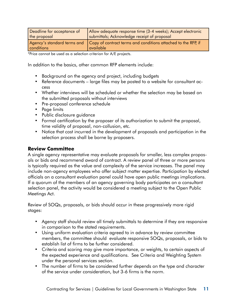| Deadline for acceptance of | Allow adequate response time (3-4 weeks); Accept electronic                                            |
|----------------------------|--------------------------------------------------------------------------------------------------------|
| the proposal               | submittals; Acknowledge receipt of proposal                                                            |
| conditions                 | Agency's standard terms and Copy of contract terms and conditions attached to the RFP, if<br>available |

\*Price cannot be used as a selection criterion for A/E projects.

In addition to the basics, other common RFP elements include:

- Background on the agency and project, including budgets
- Reference documents large files may be posted to a website for consultant access
- Whether interviews will be scheduled or whether the selection may be based on the submitted proposals without interviews
- Pre-proposal conference schedule
- Page limits
- Public disclosure guidance
- Formal certification by the proposer of its authorization to submit the proposal, time validity of proposal, non-collusion, etc.
- Notice that cost incurred in the development of proposals and participation in the selection process shall be borne by proposers.

#### **Review Committee**

A single agency representative may evaluate proposals for smaller, less complex proposals or bids and recommend award of contract. A review panel of three or more persons is typically required as the value and complexity of the service increases. The panel may include non-agency employees who offer subject matter expertise. Participation by elected officials on a consultant evaluation panel could have open public meetings implications. If a quorum of the members of an agency governing body participates on a consultant selection panel, the activity would be considered a meeting subject to the Open Public Meetings Act.

Review of SOQs, proposals, or bids should occur in these progressively more rigid stages:

- Agency staff should review all timely submittals to determine if they are responsive in comparison to the stated requirements.
- Using uniform evaluation criteria agreed to in advance by review committee members, the committee should evaluate responsive SOQs, proposals, or bids to establish list of firms to be further considered.
- Criteria and scoring may give more importance, or weights, to certain aspects of the expected experience and qualifications. See Criteria and Weighting System under the personal services section.
- The number of firms to be considered further depends on the type and character of the service under consideration, but 3-6 firms is the norm.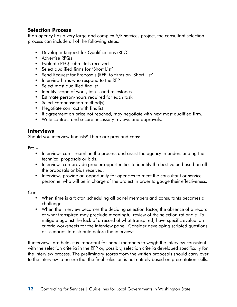#### **Selection Process**

If an agency has a very large and complex A/E services project, the consultant selection process can include all of the following steps:

- Develop a Request for Qualifications (RFQ)
- Advertise RFQs
- Evaluate RFQ submittals received
- Select qualified firms for 'Short List'
- Send Request for Proposals (RFP) to firms on 'Short List'
- Interview firms who respond to the RFP
- Select most qualified finalist
- Identify scope of work, tasks, and milestones
- Estimate person-hours required for each task
- Select compensation method(s)
- Negotiate contract with finalist
- If agreement on price not reached, may negotiate with next most qualified firm.
- Write contract and secure necessary reviews and approvals.

#### **Interviews**

Should you interview finalists? There are pros and cons:

Pro –

- Interviews can streamline the process and assist the agency in understanding the technical proposals or bids.
- Interviews can provide greater opportunities to identify the best value based on all the proposals or bids received.
- Interviews provide an opportunity for agencies to meet the consultant or service personnel who will be in charge of the project in order to gauge their effectiveness.

Con –

- When time is a factor, scheduling all panel members and consultants becomes a challenge.
- When the interview becomes the deciding selection factor, the absence of a record of what transpired may preclude meaningful review of the selection rationale. To mitigate against the lack of a record of what transpired, have specific evaluation criteria worksheets for the interview panel. Consider developing scripted questions or scenarios to distribute before the interviews.

If interviews are held, it is important for panel members to weigh the interview consistent with the selection criteria in the RFP or, possibly, selection criteria developed specifically for the interview process. The preliminary scores from the written proposals should carry over to the interview to ensure that the final selection is not entirely based on presentation skills.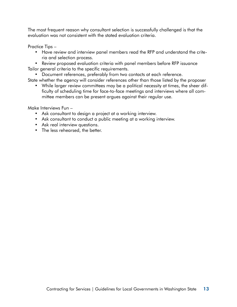The most frequent reason why consultant selection is successfully challenged is that the evaluation was not consistent with the stated evaluation criteria.

Practice Tips –

• Have review and interview panel members read the RFP and understand the criteria and selection process.

• Review proposed evaluation criteria with panel members before RFP issuance Tailor general criteria to the specific requirements.

• Document references, preferably from two contacts at each reference.

State whether the agency will consider references other than those listed by the proposer

• While larger review committees may be a political necessity at times, the sheer difficulty of scheduling time for face-to-face meetings and interviews where all committee members can be present argues against their regular use.

Make Interviews Fun –

- Ask consultant to design a project at a working interview.
- Ask consultant to conduct a public meeting at a working interview.
- Ask real interview questions.
- The less rehearsed, the better.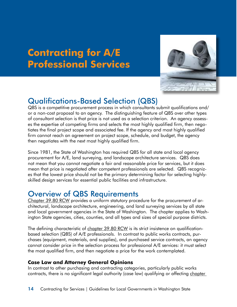# <span id="page-19-1"></span>**Contracting for A/E Professional Services**



# Qualifications-Based Selection (QBS)

QBS is a competitive procurement process in which consultants submit qualifications and/ or a non-cost proposal to an agency. The distinguishing feature of QBS over other types of consultant selection is that price is not used as a selection criterion. An agency assesses the expertise of competing firms and selects the most highly qualified firm, then negotiates the final project scope and associated fee. If the agency and most highly qualified firm cannot reach an agreement on project scope, schedule, and budget, the agency then negotiates with the next most highly qualified firm.

Since 1981, the State of Washington has required QBS for all state and local agency procurement for A/E, land surveying, and landscape architecture services. QBS does not mean that you cannot negotiate a fair and reasonable price for services, but it does mean that price is negotiated after competent professionals are selected. QBS recognizes that the lowest price should not be the primary determining factor for selecting highlyskilled design services for essential public facilities and infrastructure.

# <span id="page-19-0"></span>Overview of QBS Requirements

[Chapter 39.80 RCW](http://apps.leg.wa.gov/rcw/default.aspx?cite=39.80) provides a uniform statutory procedure for the procurement of architectural, landscape architecture, engineering, and land surveying services by all state and local government agencies in the State of Washington. The chapter applies to Washington State agencies, cities, counties, and all types and sizes of special purpose districts.

The defining characteristic of [chapter 39.80 RCW](http://apps.leg.wa.gov/rcw/default.aspx?cite=39.80) is its strict insistence on qualificationbased selection (QBS) of A/E professionals. In contrast to public works contracts, purchases (equipment, materials, and supplies), and purchased service contracts, an agency cannot consider price in the selection process for professional A/E services: it must select the most qualified firm, and then negotiate a price for the work contemplated.

#### **Case Law and Attorney General Opinions**

In contrast to other purchasing and contracting categories, particularly public works contracts, there is no significant legal authority (case law) qualifying or affecting c[hapter](http://apps.leg.wa.gov/rcw/default.aspx?cite=39.80)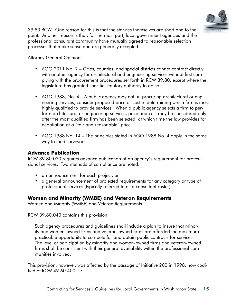

[39.80 RCW.](http://apps.leg.wa.gov/rcw/default.aspx?cite=39.80) One reason for this is that the statutes themselves are short and to the point. Another reason is that, for the most part, local government agencies and the professional consultant community have mutually agreed to reasonable selection processes that make sense and are generally accepted.

Attorney General Opinions:

- [AGO 2011 No. 2](http://www.atg.wa.gov/AGOOpinions/opinion.aspx?section=archive&id=28930) Cities, counties, and special districts cannot contract directly with another agency for architectural and engineering services without first complying with the procurement procedures set forth in RCW 39.80, except where the legislature has granted specific statutory authority to do so.
- [AGO 1988, No. 4](http://www.atg.wa.gov/AGOOpinions/opinion.aspx?id=8622)  A public agency may not, in procuring architectural or engineering services, consider proposed price or cost in determining which firm is most highly qualified to provide services. When a public agency selects a firm to perform architectural or engineering services, price and cost may be considered only after the most qualified firm has been selected, at which time the law provides for negotiation of a "fair and reasonable" price.
- [AGO 1988 No. 14](http://www.atg.wa.gov/AGOOpinions/opinion.aspx?section=topic&id=8660) The principles stated in AGO 1988 No. 4 apply in the same way to land surveyors.

#### **Advance Publication**

[RCW 39.80.030](http://apps.leg.wa.gov/rcw/default.aspx?cite=39.80.030) requires advance publication of an agency's requirement for professional services. Two methods of compliance are noted:

- an announcement for each project, or
- a general announcement of projected requirements for any category or type of professional services (typically referred to as a consultant roster).

#### **Women and Minority (WMBE) and Veteran Requirements**

Women and Minority (WMBE) and Veteran Requirements

RCW 39.80.040 contains this provision:

Such agency procedures and guidelines shall include a plan to insure that minority and women-owned firms and veteran-owned firms are afforded the maximum practicable opportunity to compete for and obtain public contracts for services. The level of participation by minority and women-owned firms and veteran-owned firms shall be consistent with their general availability within the professional communities involved.

This provision, however, was affected by the passage of Initiative 200 in 1998, now codified at RCW 49.60.400(1):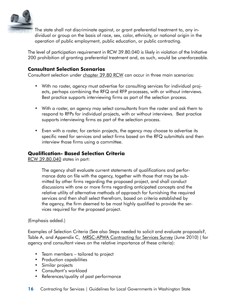

The state shall not discriminate against, or grant preferential treatment to, any individual or group on the basis of race, sex, color, ethnicity, or national origin in the operation of public employment, public education, or public contracting.

The level of participation requirement in RCW 39.80.040 is likely in violation of the Initiative 200 prohibition of granting preferential treatment and, as such, would be unenforceable.

#### **Consultant Selection Scenarios**

Consultant selection under [chapter 39.80 RCW](http://apps.leg.wa.gov/rcw/default.aspx?cite=39.80.040) can occur in three main scenarios:

- With no roster, agency must advertise for consulting services for individual projects, perhaps combining the RFQ and RFP processes, with or without interviews. Best practice supports interviewing firms as part of the selection process.
- With a roster, an agency may select consultants from the roster and ask them to respond to RFPs for individual projects, with or without interviews. Best practice supports interviewing firms as part of the selection process.
- Even with a roster, for certain projects, the agency may choose to advertise its specific need for services and select firms based on the RFQ submittals and then interview those firms using a committee.

#### **Qualification- Based Selection Criteria**

[RCW 39.80.040](http://apps.leg.wa.gov/rcw/default.aspx?cite=39.80.040) states in part:

The agency shall evaluate current statements of qualifications and performance data on file with the agency, together with those that may be submitted by other firms regarding the proposed project, and shall conduct discussions with one or more firms regarding anticipated concepts and the relative utility of alternative methods of approach for furnishing the required services and then shall select therefrom, based on criteria established by the agency, the firm deemed to be most highly qualified to provide the services required for the proposed project.

#### (Emphasis added.)

Examples of Selection Criteria (See also Steps needed to solicit and evaluate proposals?, Table A, and Appendix C, [MRSC-APWA Contracting for Services Survey](http://www.apwa-wa.org/forums/MRSC-APWA%202010%20Professional%20Services%20Survey%20-%20Final.pdf) (June 2010) (for agency and consultant views on the relative importance of these criteria):

- Team members tailored to project
- Production capabilities
- Similar projects
- Consultant's workload
- References/quality of past performance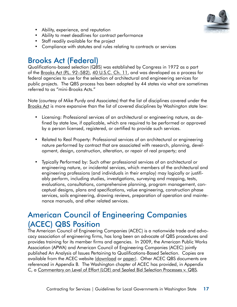

- <span id="page-22-0"></span>• Ability, experience, and reputation
- Ability to meet deadlines for contract performance
- Staff readily available for the project
- Compliance with statutes and rules relating to contracts or services

# Brooks Act (Federal)

Qualifications-based selection (QBS) was established by Congress in 1972 as a part of the [Brooks Act \(P.L. 92–582\),](http://www.acec.org/advocacy/committees/brooks.cfm) [40 U.S.C. Ch. 11,](http://www.law.cornell.edu/uscode/text/40/subtitle-I/chapter-11) and was developed as a process for federal agencies to use for the selection of architectural and engineering services for public projects. The QBS process has been adopted by 44 states via what are sometimes referred to as "mini-Brooks Acts."

Note (courtesy of Mike Purdy and Associates) that the list of disciplines covered under the [Brooks Act](http://www.acec.org/advocacy/committees/brooks.cfm) is more expansive than the list of covered disciplines by Washington state law:

- Licensing: Professional services of an architectural or engineering nature, as defined by state law, if applicable, which are required to be performed or approved by a person licensed, registered, or certified to provide such services.
- Related to Real Property: Professional services of an architectural or engineering nature performed by contract that are associated with research, planning, development, design, construction, alteration, or repair of real property; and
- Typically Performed by: Such other professional services of an architectural or engineering nature, or incidental services, which members of the architectural and engineering professions (and individuals in their employ) may logically or justifiably perform, including studies, investigations, surveying and mapping, tests, evaluations, consultations, comprehensive planning, program management, conceptual designs, plans and specifications, value engineering, construction phase services, soils engineering, drawing reviews, preparation of operation and maintenance manuals, and other related services.

# American Council of Engineering Companies (ACEC) QBS Position

The American Council of Engineering Companies (ACEC) is a nationwide trade and advocacy association of engineering firms, has long been an advocate of QBS procedures and provides training for its member firms and agencies. In 2009, the American Public Works Association (APWA) and American Council of Engineering Companies (ACEC) jointly published An Analysis of Issues Pertaining to Qualifications-Based Selection. Copies are available from the ACEC website ([download](https://netforum.acec.org/eweb/DynamicPage.aspx?Site=acec_store&WebCode=ACECproductDetail&prc_prd_key=191968a9-69cd-4f1b-822c-800675b7ee59) or [paper\)](https://netforum.acec.org/eweb/DynamicPage.aspx?Site=acec_store&WebCode=ACECproductDetail&prc_prd_key=f7cd97a4-8077-4d22-bd7b-027e4efd9b4b). Other ACEC QBS documents are referenced in Appendix B. The Washington chapter of ACEC has provided, in Appendix C, a [Commentary on Level of Effort \(LOE\) and Sealed Bid Selection Processes v. QBS](http://apwawaorg.adhost-temp.com/Uploads/zzz%20Parked%20Files/Appendix%20C%20Commentary%20on%20LOE%20and%20Sealed%20Bid%20selection%20processes%20for%20A.pdf).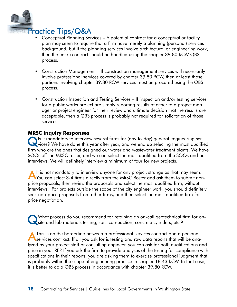<span id="page-23-1"></span>

- <span id="page-23-0"></span>• Conceptual Planning Services – A potential contract for a conceptual or facility plan may seem to require that a firm have merely a planning (personal) services background, but if the planning services involve architectural or engineering work, then the entire contract should be handled using the chapter 39.80 RCW QBS process.
- Construction Management If construction management services will necessarily involve professional services covered by chapter 39.80 RCW, then at least those portions involving chapter 39.80 RCW services must be procured using the QBS process.
- Construction Inspection and Testing Services If inspection and/or testing services for a public works project are simply reporting results of either to a project manager or project engineer for their review and ultimate decision that the results are acceptable, then a QBS process is probably not required for solicitation of those services.

#### **MRSC Inquiry Responses**

QIs it mandatory to interview several firms for (day-to-day) general engineering ser-vices? We have done this year after year, and we end up selecting the most qualified firm who are the ones that designed our water and wastewater treatment plants. We have SOQs off the MRSC roster, and we can select the most qualified from the SOQs and past interviews. We will definitely interview a minimum of four for new projects.

A It is not mandatory to interview anyone for any project, strange as that may seem.<br>You can select 3-4 firms directly from the MRSC Roster and ask them to submit nonprice proposals, then review the proposals and select the most qualified firm, without interviews. For projects outside the scope of the city engineer work, you should definitely seek non-price proposals from other firms, and then select the most qualified firm for price negotiation.

What process do you recommend for retaining an on-call geotechnical firm for on-<br>site and lab materials testing, soils compaction, concrete cylinders, etc.?

This is on the borderline between a professional services contract and a personal<br>services contract. If all you ask for is testing and raw data reports that will be analyzed by your project staff or consulting engineer, you can ask for both qualifications and price in your RFP. If you ask the firm to provide analyses of the testing for compliance with specifications in their reports, you are asking them to exercise professional judgment that is probably within the scope of engineering practice in chapter 18.43 RCW. In that case, it is better to do a QBS process in accordance with chapter 39.80 RCW.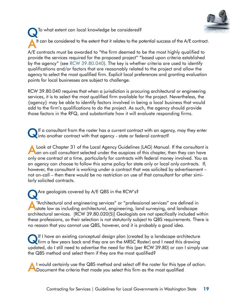<span id="page-24-0"></span>To what extent can local knowledge be considered? It can be considered to the extent that it relates to the potential success of the A/E contract. A/E contracts must be awarded to "the firm deemed to be the most highly qualified to

provide the services required for the proposed project" "based upon criteria established by the agency" (see [RCW 39.80.040](https://app.leg.wa.gov/RCW/default.aspx?cite=39.80.040)). The key is whether criteria are used to identify qualifications and/or factors that are reasonably related to the project and allow the agency to select the most qualified firm. Explicit local preferences and granting evaluation points for local businesses are subject to challenge.

RCW 39.80.040 requires that when a jurisdiction is procuring architectural or engineering services, it is to select the most qualified firm available for the project. Nevertheless, the {agency} may be able to identify factors involved in being a local business that would add to the firm's qualifications to do the project. As such, the agency should provide those factors in the RFQ, and substantiate how it will evaluate responding firms.

If a consultant from the roster has a current contract with an agency, may they enter<br>into another contract with that agency - state or federal contract?

Look at Chapter 31 of the Local Agency Guidelines (LAG) Manual. If the consultant is an on-call consultant selected under the auspices of this chapter, then they can have only one contract at a time, particularly for contracts with federal money involved. You as an agency can choose to follow this same policy for state only or local only contracts. If, however, the consultant is working under a contract that was solicited by advertisement – not on-call – then there would be no restriction on use of that consultant for other similarly solicited contracts.

Are geologists covered by A/E QBS in the RCW's? A"Architectural and engineering services" or "professional services" are defined in state law as including architectural, engineering, land surveying, and landscape architectural services. [RCW 39.80.020(5)] Geologists are not specifically included within these professions, so their selection is not statutorily subject to QBS requirements. There is no reason that you cannot use QBS, however, and it is probably a good idea.

QIf I have an existing conceptual design plan (created by a landscape architecture firm a few years back and they are on the MRSC Roster) and I need this drawing updated, do I still need to advertise the need for this (per RCW 39.80) or can I simply use the QBS method and select them if they are the most qualified?

I would certainly use the QBS method and select off the roster for this type of action. **The Document the criteria that made you select this firm as the most qualified**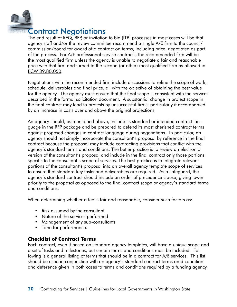

### Contract Negotiations

The end result of RFQ, RFP, or invitation to bid (ITB) processes in most cases will be that agency staff and/or the review committee recommend a single A/E firm to the council/ commission/board for award of a contract on terms, including price, negotiated as part of the process. For A/E professional service contracts, the recommended firm will be the most qualified firm unless the agency is unable to negotiate a fair and reasonable price with that firm and turned to the second (or other) most qualified firm as allowed in RCW [39.80.050](http://apps.leg.wa.gov/rcw/default.aspx?cite=39.80.050).

Negotiations with the recommended firm include discussions to refine the scope of work, schedule, deliverables and final price, all with the objective of obtaining the best value for the agency. The agency must ensure that the final scope is consistent with the services described in the formal solicitation document. A substantial change in project scope in the final contract may lead to protests by unsuccessful firms, particularly if accompanied by an increase in costs over and above the original projections.

An agency should, as mentioned above, include its standard or intended contract language in the RFP package and be prepared to defend its most cherished contract terms against proposed changes in contract language during negotiations. In particular, an agency should not simply incorporate the consultant's proposal by reference in the final contract because the proposal may include contracting provisions that conflict with the agency's standard terms and conditions. The better practice is to review an electronic version of the consultant's proposal and include in the final contract only those portions specific to the consultant's scope of services. The best practice is to integrate relevant portions of the consultant's proposal into an overall agency template scope of services to ensure that standard key tasks and deliverables are required. As a safeguard, the agency's standard contract should include an order of precedence clause, giving lower priority to the proposal as opposed to the final contract scope or agency's standard terms and conditions.

When determining whether a fee is fair and reasonable, consider such factors as:

- Risk assumed by the consultant
- Nature of the services performed
- Management of any sub-consultants
- Time for performance.

#### **Checklist of Contract Terms**

Each contract, even if based on standard agency templates, will have a unique scope and a set of tasks and milestones, but certain terms and conditions must be included. Following is a general listing of terms that should be in a contract for A/E services. This list should be used in conjunction with an agency's standard contract terms amd condition and deference given in both cases to terms and conditions required by a funding agency.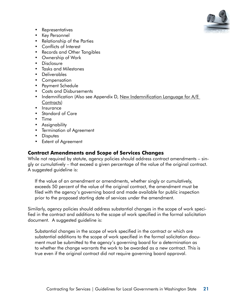

- Representatives
- Key Personnel
- Relationship of the Parties
- Conflicts of Interest
- Records and Other Tangibles
- Ownership of Work
- Disclosure
- Tasks and Milestones
- Deliverables
- Compensation
- Payment Schedule
- Costs and Disbursements
- Indemnification (Also see Appendix D, New Indemnification Language for A/E [Contracts\)](http://insight.mrsc.org/2012/07/18/new-indemnification-language-for-ae-contracts/)
- Insurance
- Standard of Care
- Time
- Assignability
- Termination of Agreement
- Disputes
- Extent of Agreement

#### **Contract Amendments and Scope of Services Changes**

While not required by statute, agency policies should address contract amendments – singly or cumulatively – that exceed a given percentage of the value of the original contract. A suggested guideline is:

If the value of an amendment or amendments, whether singly or cumulatively, exceeds 50 percent of the value of the original contract, the amendment must be filed with the agency's governing board and made available for public inspection prior to the proposed starting date of services under the amendment.

Similarly, agency policies should address substantial changes in the scope of work specified in the contract and additions to the scope of work specified in the formal solicitation document. A suggested guideline is:

Substantial changes in the scope of work specified in the contract or which are substantial additions to the scope of work specified in the formal solicitation document must be submitted to the agency's governing board for a determination as to whether the change warrants the work to be awarded as a new contract. This is true even if the original contract did not require governing board approval.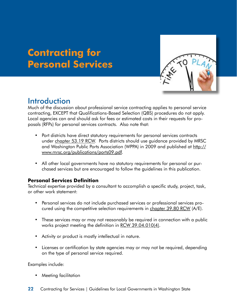# <span id="page-27-0"></span>**Contracting for Personal Services**



### Introduction

Much of the discussion about professional service contracting applies to personal service contracting, EXCEPT that Qualifications-Based Selection (QBS) procedures do not apply. Local agencies can and should ask for fees or estimated costs in their requests for proposals (RFPs) for personal services contracts. Also note that:

- Port districts have direct statutory requirements for personal services contracts under [chapter 53.19 RCW.](http://apps.leg.wa.gov/rcw/default.aspx?cite=53.19) Ports districts should use guidance provided by MRSC and Washington Public Ports Association (WPPA) in 2009 and published at [http://](http://www.mrsc.org/publications/ports09.pdf) [www.mrsc.org/publications/ports09.pdf.](http://www.mrsc.org/publications/ports09.pdf)
- All other local governments have no statutory requirements for personal or purchased services but are encouraged to follow the guidelines in this publication.

#### **Personal Services Definition**

Technical expertise provided by a consultant to accomplish a specific study, project, task, or other work statement:

- Personal services do not include purchased services or professional services procured using the competitive selection requirements in [chapter 39.80 RCW](http://apps.leg.wa.gov/rcw/default.aspx?cite=39.80) (A/E).
- These services may or may not reasonably be required in connection with a public works project meeting the definition in [RCW 39.04.010\(4\)](http://apps.leg.wa.gov/rcw/default.aspx?cite=39.04.010).
- Activity or product is mostly intellectual in nature.
- Licenses or certification by state agencies may or may not be required, depending on the type of personal service required.

Examples include:

• Meeting facilitation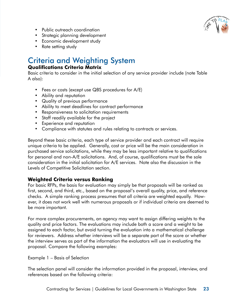

- <span id="page-28-0"></span>• Public outreach coordination
- Strategic planning development
- Economic development study
- Rate setting study

# Criteria and Weighting System

#### **Qualifications Criteria Matrix**

Basic criteria to consider in the initial selection of any service provider include (note Table A also):

- Fees or costs (except use QBS procedures for A/E)
- Ability and reputation
- Quality of previous performance
- Ability to meet deadlines for contract performance
- Responsiveness to solicitation requirements
- Staff readily available for the project
- Experience and reputation
- Compliance with statutes and rules relating to contracts or services.

Beyond these basic criteria, each type of service provider and each contract will require unique criteria to be applied. Generally, cost or price will be the main consideration in purchased service solicitations, while they may be less important relative to qualifications for personal and non-A/E solicitations. And, of course, qualifications must be the sole consideration in the initial solicitation for A/E services. Note also the discussion in the Levels of Competitive Solicitation section.

#### **Weighted Criteria versus Ranking**

For basic RFPs, the basis for evaluation may simply be that proposals will be ranked as first, second, and third, etc., based on the proposal's overall quality, price, and reference checks. A simple ranking process presumes that all criteria are weighted equally. However, it does not work well with numerous proposals or if individual criteria are deemed to be more important.

For more complex procurements, an agency may want to assign differing weights to the quality and price factors. The evaluations may include both a score and a weight to be assigned to each factor, but avoid turning the evaluation into a mathematical challenge for reviewers. Address whether interviews will be a separate part of the score or whether the interview serves as part of the information the evaluators will use in evaluating the proposal. Compare the following examples:

Example 1 – Basis of Selection

The selection panel will consider the information provided in the proposal, interview, and references based on the following criteria: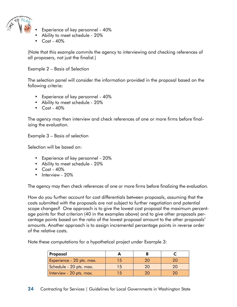

- Experience of key personnel 40%
- Ability to meet schedule 20%
- Cost 40%

(Note that this example commits the agency to interviewing and checking references of all proposers, not just the finalist.)

Example 2 – Basis of Selection

The selection panel will consider the information provided in the proposal based on the following criteria:

- Experience of key personnel 40%
- Ability to meet schedule 20%
- Cost 40%

The agency may then interview and check references of one or more firms before finalizing the evaluation.

Example 3 – Basis of selection

Selection will be based on:

- Experience of key personnel 20%
- Ability to meet schedule 20%
- Cost 40%
- Interview 20%

The agency may then check references of one or more firms before finalizing the evaluation.

How do you further account for cost differentials between proposals, assuming that the costs submitted with the proposals are not subject to further negotiation and potential scope changes? One approach is to give the lowest cost proposal the maximum percentage points for that criterion (40 in the examples above) and to give other proposals percentage points based on the ratio of the lowest proposal amount to the other proposals' amounts. Another approach is to assign incremental percentage points in reverse order of the relative costs.

Note these computations for a hypothetical project under Example 3:

| Proposal                  |    |    |  |
|---------------------------|----|----|--|
| Experience - 20 pts. max. | 15 |    |  |
| Schedule - 20 pts. max.   | 15 | 20 |  |
| Interview - 20 pts. max.  | 15 |    |  |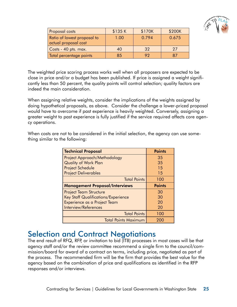

<span id="page-30-0"></span>

| Proposal costs                                      | \$135K | \$170K | \$200K |
|-----------------------------------------------------|--------|--------|--------|
| Ratio of lowest proposal to<br>actual proposal cost | 1.00   | 0.794  | 0.675  |
| Costs - 40 pts. max.                                | 40     | 32     | 27     |
| Total percentage points                             | 85     | 92     |        |

The weighted price scoring process works well when all proposers are expected to be close in price and/or a budget has been published. If price is assigned a weight significantly less than 50 percent, the quality points will control selection; quality factors are indeed the main consideration.

When assigning relative weights, consider the implications of the weights assigned by doing hypothetical proposals, as above. Consider the challenge a lower-priced proposal would have to overcome if past experience is heavily weighted. Conversely, assigning a greater weight to past experience is fully justified if the service required affects core agency operations.

When costs are not to be considered in the initial selection, the agency can use something similar to the following:

| <b>Technical Proposal</b>                  | <b>Points</b> |
|--------------------------------------------|---------------|
| Project Approach/Methodology               | 35            |
| <b>Quality of Work Plan</b>                | 35            |
| <b>Project Schedule</b>                    | 15            |
| <b>Project Deliverables</b>                | 15            |
| <b>Total Points</b>                        | 100           |
| <b>Management Proposal/Interviews</b>      | <b>Points</b> |
| <b>Project Team Structure</b>              | 30            |
| <b>Key Staff Qualifications/Experience</b> | 30            |
| Experience as a Project Team               | 20            |
| Interview/References                       | 20            |
| <b>Total Points</b>                        | 100           |
| <b>Total Points Maximum</b>                | 200           |

### Selection and Contract Negotiations

The end result of RFQ, RFP, or invitation to bid (ITB) processes in most cases will be that agency staff and/or the review committee recommend a single firm to the council/commission/board for award of a contract on terms, including price, negotiated as part of the process. The recommended firm will be the firm that provides the best value for the agency based on the combination of price and qualifications as identified in the RFP responses and/or interviews.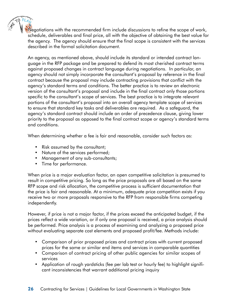Negotiations with the recommended firm include discussions to refine the scope of work, schedule, deliverables and final price, all with the objective of obtaining the best value for the agency. The agency should ensure that the final scope is consistent with the services described in the formal solicitation document.

An agency, as mentioned above, should include its standard or intended contract language in the RFP package and be prepared to defend its most cherished contract terms against proposed changes in contract language during negotiations. In particular, an agency should not simply incorporate the consultant's proposal by reference in the final contract because the proposal may include contracting provisions that conflict with the agency's standard terms and conditions. The better practice is to review an electronic version of the consultant's proposal and include in the final contract only those portions specific to the consultant's scope of services. The best practice is to integrate relevant portions of the consultant's proposal into an overall agency template scope of services to ensure that standard key tasks and deliverables are required. As a safeguard, the agency's standard contract should include an order of precedence clause, giving lower priority to the proposal as opposed to the final contract scope or agency's standard terms and conditions.

When determining whether a fee is fair and reasonable, consider such factors as:

- Risk assumed by the consultant;
- Nature of the services performed;
- Management of any sub-consultants;
- Time for performance.

When price is a major evaluation factor, an open competitive solicitation is presumed to result in competitive pricing. So long as the price proposals are all based on the same RFP scope and risk allocation, the competitive process is sufficient documentation that the price is fair and reasonable. At a minimum, adequate price competition exists if you receive two or more proposals responsive to the RFP from responsible firms competing independently.

However, if price is not a major factor, if the prices exceed the anticipated budget, if the prices reflect a wide variation, or if only one proposal is received, a price analysis should be performed. Price analysis is a process of examining and analyzing a proposed price without evaluating separate cost elements and proposed profit/fee. Methods include:

- Comparison of prior proposed prices and contract prices with current proposed prices for the same or similar end items and services in comparable quantities
- Comparison of contract pricing of other public agencies for similar scopes of services
- Application of rough yardsticks (fee per lab test or hourly fee) to highlight significant inconsistencies that warrant additional pricing inquiry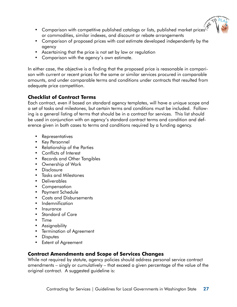

- Comparison with competitive published catalogs or lists, published market prices or commodities, similar indexes, and discount or rebate arrangements
- Comparison of proposed prices with cost estimate developed independently by the agency
- Ascertaining that the price is not set by law or regulation
- Comparison with the agency's own estimate.

In either case, the objective is a finding that the proposed price is reasonable in comparison with current or recent prices for the same or similar services procured in comparable amounts, and under comparable terms and conditions under contracts that resulted from adequate price competition.

#### **Checklist of Contract Terms**

Each contract, even if based on standard agency templates, will have a unique scope and a set of tasks and milestones, but certain terms and conditions must be included. Following is a general listing of terms that should be in a contract for services. This list should be used in conjunction with an agency's standard contract terms and condition and deference given in both cases to terms and conditions required by a funding agency.

- Representatives
- Key Personnel
- Relationship of the Parties
- Conflicts of Interest
- Records and Other Tangibles
- Ownership of Work
- Disclosure
- Tasks and Milestones
- Deliverables
- Compensation
- Payment Schedule
- Costs and Disbursements
- Indemnification
- Insurance
- Standard of Care
- Time
- Assignability
- Termination of Agreement
- Disputes
- Extent of Agreement

#### **Contract Amendments and Scope of Services Changes**

While not required by statute, agency policies should address personal service contract amendments – singly or cumulatively – that exceed a given percentage of the value of the original contract. A suggested guideline is: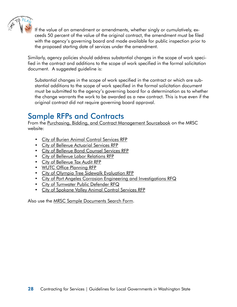<span id="page-33-0"></span>

If the value of an amendment or amendments, whether singly or cumulatively, exceeds 50 percent of the value of the original contract, the amendment must be filed with the agency's governing board and made available for public inspection prior to the proposed starting date of services under the amendment.

Similarly, agency policies should address substantial changes in the scope of work specified in the contract and additions to the scope of work specified in the formal solicitation document. A suggested guideline is:

Substantial changes in the scope of work specified in the contract or which are substantial additions to the scope of work specified in the formal solicitation document must be submitted to the agency's governing board for a determination as to whether the change warrants the work to be awarded as a new contract. This is true even if the original contract did not require governing board approval.

### Sample RFPs and Contracts

From the [Purchasing, Bidding, and Contract Management Sourcebook](http://www.mrsc.org/subjects/pubworks/sourcebook/sourcebooktoc.aspx#D) on the MRSC website:

- [City of Burien Animal Control Services RFP](http://mrsc.org/getmedia/25f0354e-54cc-484a-b162-d6b0c39caa2e/App%20D3%20-%20Burien%20Animal%20Control%20Services.aspx)
- [City of Bellevue Actuarial Services RFP](http://mrsc.org/getmedia/be7fa892-e623-4e9f-b21f-362e2b8534f0/App%20D13%20-%20Bellevue%20Acturial.aspx)
- [City of Bellevue Bond Counsel Services RFP](http://mrsc.org/getmedia/971fbfee-1f70-4e3f-803f-3fb0a3d76bfb/App%20D14%20-%20Bellevue%20Bond%20Counsel.aspx)
- [City of Bellevue Labor Relations RFP](http://mrsc.org/getmedia/c833e105-bd1e-4c2d-af2c-70a07131b93b/App%20D16%20-%20Bellevue%20Labor%20Relations.aspx)
- [City of Bellevue Tax Audit RFP](http://mrsc.org/getmedia/759da2c8-843a-43a6-84d3-d224a38bca1f/App%20D17%20-%20Bellevue%20Tax%20Audit.aspx)
- [WUTC Office Planning RFP](http://mrsc.org/getmedia/900b5aad-b9cb-43ca-934d-eaee20eee90a/App%20D21%20-%20WUTC%20Office%20space%20planning.aspx)
- [City of Olympia Tree Sidewalk Evaluation RFP](http://mrsc.org/getmedia/99ce3020-e2e5-4fd6-a2f8-40e2af8216ee/App%20D22%20-%20Olympia%20Tree-Sidewalk.aspx)
- [City of Port Angeles Corrosion Engineering and Investigations RFQ](http://mrsc.org/getmedia/8f62b005-f6b0-427f-9a54-e3733fd75eb7/App%20D23%20-%20Port%20Angeles%20RFQ.aspx)
- [City of Tumwater Public Defender RFQ](http://mrsc.org/getmedia/a317adf7-e326-4262-a00e-7239470a81c8/App%20D25%20-%20Public%20Defender%20RFP%2002-2012.aspx)
- [City of Spokane Valley Animal Control Services RFP](http://mrsc.org/getmedia/6cd6b11a-7160-4c95-a070-f60b450aa329/App%20D27%20-%20Spokane%20Valley%20Animal%20Control.aspx)

Also use the [MRSC Sample Documents Search Form.](http://www.mrsc.org/search/sampledocssearch.aspx)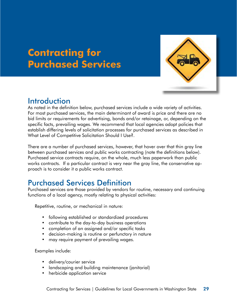# <span id="page-34-0"></span>**Contracting for Purchased Services**



### Introduction

As noted in the definition below, purchased services include a wide variety of activities. For most purchased services, the main determinant of award is price and there are no bid limits or requirements for advertising, bonds and/or retainage, or, depending on the specific facts, prevailing wages. We recommend that local agencies adopt policies that establish differing levels of solicitation processes for purchased services as described in What Level of Competitive Solicitation Should I Use?.

There are a number of purchased services, however, that hover over that thin gray line between purchased services and public works contracting (note the definitions below). Purchased service contracts require, on the whole, much less paperwork than public works contracts. If a particular contract is very near the gray line, the conservative approach is to consider it a public works contract.

# Purchased Services Definition

Purchased services are those provided by vendors for routine, necessary and continuing functions of a local agency, mostly relating to physical activities:

Repetitive, routine, or mechanical in nature:

- following established or standardized procedures
- contribute to the day-to-day business operations
- completion of an assigned and/or specific tasks
- decision-making is routine or perfunctory in nature
- may require payment of prevailing wages.

Examples include:

- delivery/courier service
- landscaping and building maintenance (janitorial)
- herbicide application service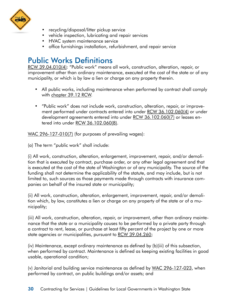<span id="page-35-0"></span>

- recycling/disposal/litter pickup service
- vehicle inspection, lubricating and repair services
- HVAC system maintenance service
- office furnishings installation, refurbishment, and repair service

# Public Works Definitions

[RCW 39.04.010](http://apps.leg.wa.gov/rcw/default.aspx?cite=39.04.010)(4): "Public work" means all work, construction, alteration, repair, or improvement other than ordinary maintenance, executed at the cost of the state or of any municipality, or which is by law a lien or charge on any property therein.

- All public works, including maintenance when performed by contract shall comply with chapter [39.12](http://apps.leg.wa.gov/rcw/default.aspx?cite=39.12) RCW.
- "Public work" does not include work, construction, alteration, repair, or improvement performed under contracts entered into under RCW [36.102.060\(](http://apps.leg.wa.gov/rcw/default.aspx?cite=36.102.060)4) or under development agreements entered into under RCW [36.102.060\(](http://apps.leg.wa.gov/rcw/default.aspx?cite=36.102.060)7) or leases entered into under RCW [36.102.060](http://apps.leg.wa.gov/rcw/default.aspx?cite=36.102.060)(8).

[WAC 296-127-010\(](http://apps.leg.wa.gov/WAC/default.aspx?cite=296-127-010)7) (for purposes of prevailing wages):

(a) The term "public work" shall include:

(i) All work, construction, alteration, enlargement, improvement, repair, and/or demolition that is executed by contract, purchase order, or any other legal agreement and that is executed at the cost of the state of Washington or of any municipality. The source of the funding shall not determine the applicability of the statute, and may include, but is not limited to, such sources as those payments made through contracts with insurance companies on behalf of the insured state or municipality;

(ii) All work, construction, alteration, enlargement, improvement, repair, and/or demolition which, by law, constitutes a lien or charge on any property of the state or of a municipality;

(iii) All work, construction, alteration, repair, or improvement, other than ordinary maintenance that the state or a municipality causes to be performed by a private party through a contract to rent, lease, or purchase at least fifty percent of the project by one or more state agencies or municipalities, pursuant to RCW [39.04.260;](http://apps.leg.wa.gov/RCW/default.aspx?cite=39.04.260)

(iv) Maintenance, except ordinary maintenance as defined by (b)(iii) of this subsection, when performed by contract. Maintenance is defined as keeping existing facilities in good usable, operational condition;

(v) Janitorial and building service maintenance as defined by WAC [296-127-023](http://apps.leg.wa.gov/WAC/default.aspx?cite=296-127-023), when performed by contract, on public buildings and/or assets; and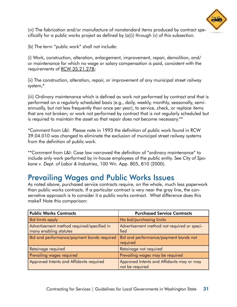

<span id="page-36-0"></span>(vi) The fabrication and/or manufacture of nonstandard items produced by contract specifically for a public works project as defined by (a)(i) through (v) of this subsection.

(b) The term "public work" shall not include:

(i) Work, construction, alteration, enlargement, improvement, repair, demolition, and/ or maintenance for which no wage or salary compensation is paid, consistent with the requirements of RCW [35.21.278;](http://apps.leg.wa.gov/RCW/default.aspx?cite=35.21.278)

(ii) The construction, alteration, repair, or improvement of any municipal street railway system;\*

(iii) Ordinary maintenance which is defined as work not performed by contract and that is performed on a regularly scheduled basis (e.g., daily, weekly, monthly, seasonally, semiannually, but not less frequently than once per year), to service, check, or replace items that are not broken; or work not performed by contract that is not regularly scheduled but is required to maintain the asset so that repair does not become necessary.\*\*

\*Comment from L&I: Please note in 1993 the definition of public work found in RCW 39.04.010 was changed to eliminate the exclusion of municipal street railway systems from the definition of public work.

\*\*Comment from L&I: Case law narrowed the definition of "ordinary maintenance" to include only work performed by in-house employees of the public entity. See *City of Spokane v. Dept. of Labor & Industries*, 100 Wn. App. 805, 810 (2000).

### Prevailing Wages and Public Works Issues

As noted above, purchased service contracts require, on the whole, much less paperwork than public works contracts. If a particular contract is very near the gray line, the conservative approach is to consider it a public works contract. What difference does this make? Note this comparison:

| <b>Public Works Contracts</b>                                        | <b>Purchased Service Contracts</b>                            |  |
|----------------------------------------------------------------------|---------------------------------------------------------------|--|
| Bid limits apply                                                     | No bid/purchasing limits                                      |  |
| Advertisement method required/specified in<br>many enabling statutes | Advertisement method not required or speci-<br>fied           |  |
| Bid and performance/payment bonds required                           | Bid and performance/payment bonds not<br>required             |  |
| Retainage required                                                   | Retainage not required                                        |  |
| Prevailing wages required                                            | Prevailing wages may be required                              |  |
| Approved Intents and Affidavits required                             | Approved Intents and Affidavits may or may<br>not be required |  |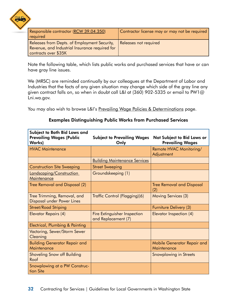

| Responsible contractor (RCW 39.04.350)<br>required                                                                     | Contractor license may or may not be required |
|------------------------------------------------------------------------------------------------------------------------|-----------------------------------------------|
| Releases from Depts. of Employment Security,<br>Revenue, and Industrial Insurance required for<br>contracts over \$35K | Releases not required                         |

Note the following table, which lists public works and purchased services that have or can have gray line issues.

We (MRSC) are reminded continually by our colleagues at the Department of Labor and Industries that the facts of any given situation may change which side of the gray line any given contract falls on, so when in doubt call L&I at (360) 902-5335 or email to [PW1@](mailto:PW1@Lni.wa.gov) [Lni.wa.gov](mailto:PW1@Lni.wa.gov).

You may also wish to browse L&I's [Prevailing Wage Policies & Determinations](http://www.lni.wa.gov/TradesLicensing/PrevWage/Policies/default.asp) page.

#### Examples Distinguishing Public Works from Purchased Services

| Subject to Both Bid Laws and<br><b>Prevailing Wages (Public</b><br><b>Works)</b> | <b>Subject to Prevailing Wages</b><br>Only          | Not Subject to Bid Laws or<br><b>Prevailing Wages</b> |
|----------------------------------------------------------------------------------|-----------------------------------------------------|-------------------------------------------------------|
| <b>HVAC Maintenance</b>                                                          |                                                     | Remote HVAC Monitoring/<br>Adjustment                 |
|                                                                                  | <b>Building Maintenance Services</b>                |                                                       |
| <b>Construction Site Sweeping</b>                                                | <b>Street Sweeping</b>                              |                                                       |
| Landscaping/Construction<br>Maintenance                                          | Groundskeeping (1)                                  |                                                       |
| Tree Removal and Disposal (2)                                                    |                                                     | <b>Tree Removal and Disposal</b><br>(2)               |
| Tree Trimming, Removal, and<br>Disposal under Power Lines                        | Traffic Control (Flagging)(6)                       | Moving Services (3)                                   |
| <b>Street/Road Striping</b>                                                      |                                                     | Furniture Delivery (3)                                |
| Elevator Repairs (4)                                                             | Fire Extinguisher Inspection<br>and Replacement (7) | Elevator Inspection (4)                               |
| Electrical, Plumbing & Painting                                                  |                                                     |                                                       |
| Vactoring, Sewer/Storm Sewer<br>Cleaning                                         |                                                     |                                                       |
| <b>Building Generator Repair and</b><br>Maintenance                              |                                                     | Mobile Generator Repair and<br>Maintenance            |
| <b>Shoveling Snow off Building</b><br>Roof                                       |                                                     | <b>Snowplowing in Streets</b>                         |
| Snowplowing at a PW Construc-<br>tion Site                                       |                                                     |                                                       |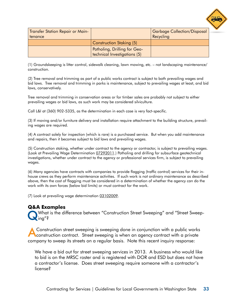

| <b>Transfer Station Repair or Main-</b><br>tenance |                                                              | <b>Garbage Collection/Disposal</b><br>Recycling |
|----------------------------------------------------|--------------------------------------------------------------|-------------------------------------------------|
|                                                    | Construction Staking (5)                                     |                                                 |
|                                                    | Potholing, Drilling for Geo-<br>technical Investigations (5) |                                                 |

(1) Groundskeeping is litter control, sidewalk cleaning, lawn mowing, etc. – not landscaping maintenance/ construction.

(2) Tree removal and trimming as part of a public works contract is subject to both prevailing wages and bid laws. Tree removal and trimming in parks is maintenance, subject to prevailing wages at least, and bid laws, conservatively.

Tree removal and trimming in conservation areas or for timber sales are probably not subject to either prevailing wages or bid laws, as such work may be considered silviculture.

Call L&I at (360) 902-5335, as the determination in each case is very fact-specific.

(3) If moving and/or furniture delivery and installation require attachment to the building structure, prevailing wages are required.

(4) A contract solely for inspection (which is rare) is a purchased service. But when you add maintenance and repairs, then it becomes subject to bid laws and prevailing wages.

(5) Construction staking, whether under contract to the agency or contractor, is subject to prevailing wages. (Look at Prevailing Wage Determination [07292011](http://www.lni.wa.gov/TradesLicensing/PrevWage/files/Policies/RequirementsForSurveying.pdf).) Potholing and drilling for subsurface geotechnical investigations, whether under contract to the agency or professional services firm, is subject to prevailing wages.

(6) Many agencies have contracts with companies to provide flagging (traffic control) services for their inhouse crews as they perform maintenance activities. If such work is not ordinary maintenance as described above, then the cost of flagging must be considered in a determination of whether the agency can do the work with its own forces (below bid limits) or must contract for the work.

(7) Look at prevailing wage determination [03102009.](http://www.lni.wa.gov/TradesLicensing/PrevWage/files/Policies/FireExtinguishers-SprinklerFittersFinalPolicy.pdf)

#### **Q&A Examples**

QWhat is the difference between "Construction Street Sweeping" and "Street Sweeping"?

AConstruction street sweeping is sweeping done in conjunction with a public works construction contract. Street sweeping is when an agency contract with a private company to sweep its streets on a regular basis. Note this recent inquiry response:

We have a bid out for street sweeping services in 2013. A business who would like to bid is on the MRSC roster and is registered with DOR and ESD but does not have a contractor's license. Does street sweeping require someone with a contractor's license?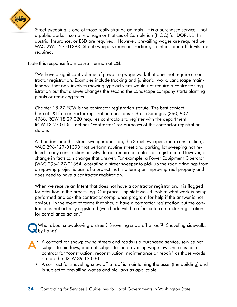

Street sweeping is one of those really strange animals. It is a purchased service – not a public works – so no retainage or Notices of Completion (NOC) for DOR, L&I Industrial Insurance, or ESD are required. However, prevailing wages are required per [WAC 296-127-01393](http://apps.leg.wa.gov/WAC/default.aspx?cite=296-127-01393) (Street sweepers (nonconstruction), so intents and affidavits are required.

Note this response from Laura Herman at L&I:

"We have a significant volume of prevailing wage work that does not require a contractor registration. Examples include trucking and janitorial work. Landscape maintenance that only involves mowing type activities would not require a contractor registration but that answer changes the second the Landscape company starts planting plants or removing trees.

Chapter 18.27 RCW is the contractor registration statute. The best contact here at L&I for contractor registration questions is Bruce Springer, (360) 902- 4768. RCW [18.27.020](http://apps.leg.wa.gov/rcw/default.aspx?cite=18.27.020) requires contractors to register with the department. RCW [18.27.010\(1\)](http://apps.leg.wa.gov/rcw/default.aspx?cite=18.27.010) defines "contractor" for purposes of the contractor registration statute.

As I understand this street sweeper question, the Street Sweepers (non-construction), WAC 296-127-01393 that perform routine street and parking lot sweeping not related to any construction activity, do not require a contractor registration. However, a change in facts can change that answer. For example, a Power Equipment Operator (WAC 296-127-01354) operating a street sweeper to pick up the road grindings from a repaving project is part of a project that is altering or improving real property and does need to have a contractor registration.

When we receive an Intent that does not have a contractor registration, it is flagged for attention in the processing. Our processing staff would look at what work is being performed and ask the contractor compliance program for help if the answer is not obvious. In the event of forms that should have a contractor registration but the contractor is not actually registered (we check) will be referred to contractor registration for compliance action."

What about snowplowing a street? Shoveling snow off a roof? Shoveling sidewalks by hand?

- A• A contract for snowplowing streets and roads is a purchased service, service not subject to bid laws, and not subject to the prevailing wage law since it is not a contract for "construction, reconstruction, maintenance or repair" as those words are used in RCW 39.12.030.
	- A contract for shoveling snow off a roof is maintaining the asset (the building) and is subject to prevailing wages and bid laws as applicable.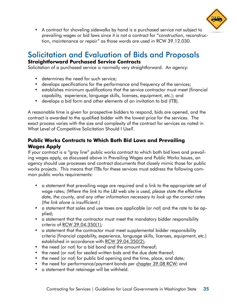

<span id="page-40-0"></span>• A contract for shoveling sidewalks by hand is a purchased service not subject to prevailing wages or bid laws since it is not a contract for "construction, reconstruction, maintenance or repair" as those words are used in RCW 39.12.030.

#### Solicitation and Evaluation of Bids and Proposals **Straightforward Purchased Service Contracts**

Solicitation of a purchased service is normally very straightforward. An agency:

- determines the need for such service;
- develops specifications for the performance and frequency of the services;
- establishes minimum qualifications that the service contractor must meet (financial capability, experience, language skills, licenses, equipment, etc.); and
- develops a bid form and other elements of an invitation to bid (ITB).

A reasonable time is given for prospective bidders to respond, bids are opened, and the contract is awarded to the qualified bidder with the lowest price for the services. The exact process varies with the size and complexity of the contract for services as noted in What Level of Competitive Solicitation Should I Use?.

#### **Public Works Contracts to Which Both Bid Laws and Prevailing Wages Apply**

If your contract is a "gray line" public works contract to which both bid laws and prevailing wages apply, as discussed above in Prevailing Wages and Public Works Issues, an agency should use processes and contract documents that closely mimic those for public works projects. This means that ITBs for these services must address the following common public works requirements:

- a statement that prevailing wage are required and a link to the appropriate set of wage rates; *(Where the link to the L&I web site is used, please state the effective date, the county, and any other information necessary to look up the correct rates (the link alone is insufficient.)*
- a statement that sales and use taxes are applicable (or not) and the rate to be applied;
- a statement that the contractor must meet the mandatory bidder responsibility criteria of [RCW 39.04.350\(1\)](http://apps.leg.wa.gov/rcw/default.aspx?cite=39.04.350);
- a statement that the contractor must meet supplemental bidder responsibility criteria (financial capability, experience, language skills, licenses, equipment, etc.) established in accordance with [RCW 39.04.350\(2\);](http://apps.leg.wa.gov/rcw/default.aspx?cite=39.04.350)
- the need (or not) for a bid bond and the amount thereof;
- the need (or not) for sealed written bids and the due date thereof;
- the need (or not) for public bid opening and the time, place, and date;
- the need for performance/payment bonds per [chapter 39.08 RCW;](http://apps.leg.wa.gov/rcw/default.aspx?cite=39.08) and
- a statement that retainage will be withheld.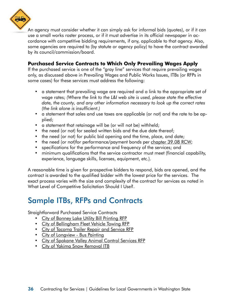<span id="page-41-0"></span>

An agency must consider whether it can simply ask for informal bids (quotes), or if it can use a small works roster process, or if it must advertise in its official newspaper in accordance with competitive bidding requirements, if any, applicable to that agency. Also, some agencies are required to (by statute or agency policy) to have the contract awarded by its council/commission/board.

#### **Purchased Service Contracts to Which Only Prevailing Wages Apply**

If the purchased service is one of the "gray line" services that require prevailing wages only, as discussed above in Prevailing Wages and Public Works Issues, ITBs (or RFPs in some cases) for these services must address the following:

- a statement that prevailing wage are required and a link to the appropriate set of wage rates; *(Where the link to the L&I web site is used, please state the effective date, the county, and any other information necessary to look up the correct rates (the link alone is insufficient.)*
- a statement that sales and use taxes are applicable (or not) and the rate to be applied;
- a statement that retainage will be (or will not be) withheld;
- the need (or not) for sealed written bids and the due date thereof;
- the need (or not) for public bid opening and the time, place, and date;
- the need (or not)for performance/payment bonds per [chapter 39.08 RCW;](http://apps.leg.wa.gov/rcw/default.aspx?cite=39.08)
- specifications for the performance and frequency of the services; and
- minimum qualifications that the service contractor must meet (financial capability, experience, language skills, licenses, equipment, etc.).

A reasonable time is given for prospective bidders to respond, bids are opened, and the contract is awarded to the qualified bidder with the lowest price for the services. The exact process varies with the size and complexity of the contract for services as noted in What Level of Competitive Solicitation Should I Use?.

# Sample ITBs, RFPs and Contracts

Straightforward Purchased Service Contracts

- [City of Bonney Lake Utility Bill Printing RFP](http://mrsc.org/getmedia/79f5f308-2060-4016-8532-7f873a280d22/App%20D12%20-%20Bonney%20Lake%20Utility%20Billing.aspx)
- [City of Bellingham Fleet Vehicle Towing RFP](http://mrsc.org/getmedia/517aaf7d-a30f-4297-b428-7450d7a362c0/App%20D18%20-%20Bellingham%20towing.aspx)
- [City of Tacoma Trailer Repair and Service RFP](http://mrsc.org/getmedia/c4e2c854-e8fe-4217-be7e-231aab594a96/App%20D19%20-%20Tacoma%20Trailer%20Repair%20and%20Services.aspx)
- [City of Longview Bus Painting](http://mrsc.org/getmedia/8af9f3d8-6573-4f51-bc95-5f9cf8611c01/App%20D24%20-%20Longview%20Bus%20Painting.aspx)
- [City of Spokane Valley Animal Control Services RFP](http://mrsc.org/getmedia/6cd6b11a-7160-4c95-a070-f60b450aa329/App%20D27%20-%20Spokane%20Valley%20Animal%20Control.aspx)
- [City of Yakima Snow Removal ITB](http://mrsc.org/getmedia/2c87b4b4-a767-4e71-957f-da3bf467274b/App%20D6%20-%20City%20of%20Yakima%20Snow%20Removal%20RFB.aspx)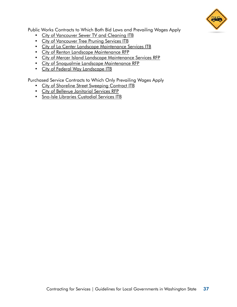

Public Works Contracts to Which Both Bid Laws and Prevailing Wages Apply

- [City of Vancouver Sewer TV and Cleaning ITB](http://mrsc.org/getmedia/bcdd767b-ec9d-4789-8896-fb57e6d993e5/App%20D1%20-%20City%20of%20Vancouver%20Sewer%20TV%20and%20Cleaning%20RFB.aspx)
- [City of Vancouver Tree Pruning Services ITB](http://mrsc.org/getmedia/1ed7241e-f337-42ab-b4dd-d8e1da1bbe34/App%20D2%20-%20City%20of%20Vancouver%20Tree%20Pruning%20Services%20RFB.aspx)
- [City of La Center Landscape Maintenance Services ITB](http://mrsc.org/getmedia/e7280d33-db71-4472-bea3-592c9cdc5172/App%20D20%20-%20La%20Center%20Landscape%20Bid.aspx)
- [City of Renton Landscape Maintenance RFP](http://mrsc.org/getmedia/b83c010c-cbd2-4dde-bc8b-301cfcbc07bf/App%20D26%20-%20Renton%20Landscape%20RFP.aspx)
- [City of Mercer Island Landscape Maintenance Services RFP](http://mrsc.org/getmedia/45604705-2d0e-4035-a783-b03b93f148ed/App%20D30%20-%20Mercer%20Island%20Landscape%20RFP.aspx)
- [City of Snoqualmie Landscape Maintenance RFP](http://mrsc.org/getmedia/c59dc598-def4-4126-9602-a0908200920e/App%20D31%20-%20Snoqulmie%20Landscape%20Bid.aspx)
- [City of Federal Way Landscape ITB](http://mrsc.org/getmedia/ba2c041d-24da-4dbd-93aa-f5eab2e5a842/App%20D32%20-%20Federal%20Way%20Landscape%20RFB.aspx)

Purchased Service Contracts to Which Only Prevailing Wages Apply

- [City of Shoreline Street Sweeping Contract ITB](http://mrsc.org/getmedia/73dc5e14-f1f9-4725-a621-54a8d60497cf/App%20D4%20-%20City%20of%20Shoreline%20Street%20Sweeping%20Contract%20RFB.aspx)
- [City of Bellevue Janitorial Services RFP](http://mrsc.org/getmedia/078c2ec3-bc2b-4d8f-8e07-c89cd9ceb943/App%20D15%20-%20Bellevue%20Janitorial.aspx)
- [Sno-lsle Libraries Custodial Services ITB](http://mrsc.org/getmedia/5690b84f-ef14-4f37-ba4f-297e0f0a76b3/App%20D29%20-%20Sno-Isle%20Custodial.aspx)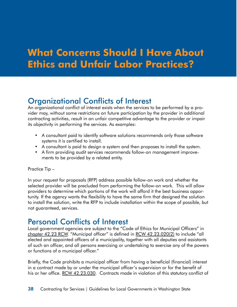# <span id="page-43-0"></span>**What Concerns Should I Have About Ethics and Unfair Labor Practices?**

# Organizational Conflicts of Interest

An organizational conflict of interest exists when the services to be performed by a provider may, without some restrictions on future participation by the provider in additional contracting activities, result in an unfair competitive advantage to the provider or impair its objectivity in performing the services. As examples:

- A consultant paid to identify software solutions recommends only those software systems it is certified to install.
- A consultant is paid to design a system and then proposes to install the system.
- A firm providing audit services recommends follow-on management improvements to be provided by a related entity.

#### Practice Tip –

In your request for proposals (RFP) address possible follow-on work and whether the selected provider will be precluded from performing the follow-on work. This will allow providers to determine which portions of the work will afford it the best business opportunity. If the agency wants the flexibility to have the same firm that designed the solution to install the solution, write the RFP to include installation within the scope of possible, but not guaranteed, services.

### Personal Conflicts of Interest

Local government agencies are subject to the "Code of Ethics for Municipal Officers" in [chapter 42.23 RCW.](http://apps.leg.wa.gov/rcw/default.aspx?cite=42.23) "Municipal officer" is defined in [RCW 42.23.020\(](http://apps.leg.wa.gov/rcw/default.aspx?cite=42.23.020)2) to include "all elected and appointed officers of a municipality, together with all deputies and assistants of such an officer, and all persons exercising or undertaking to exercise any of the powers or functions of a municipal officer."

Briefly, the Code prohibits a municipal officer from having a beneficial (financial) interest in a contract made by or under the municipal officer's supervision or for the benefit of his or her office. [RCW 42.23.030.](http://apps.leg.wa.gov/rcw/default.aspx?cite=42.23.030) Contracts made in violation of this statutory conflict of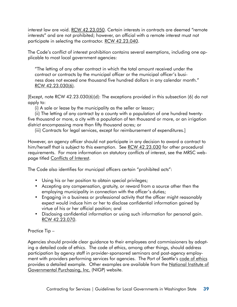interest law are void. [RCW 42.23.050](http://apps.leg.wa.gov/rcw/default.aspx?cite=42.23.050). Certain interests in contracts are deemed "remote interests" and are not prohibited; however, an official with a remote interest must not participate in selecting the contractor. [RCW 42.23.040.](http://apps.leg.wa.gov/rcw/default.aspx?cite=42.23.040)

The Code's conflict of interest prohibition contains several exemptions, including one applicable to most local government agencies:

"The letting of any other contract in which the total amount received under the contract or contracts by the municipal officer or the municipal officer's business does not exceed one thousand five hundred dollars in any calendar month." RCW [42.23.030\(6\)](http://apps.leg.wa.gov/rcw/default.aspx?cite=42.23.030).

[Except, note RCW 42.23.030(6)(d): The exceptions provided in this subsection (6) do not apply to:

(i) A sale or lease by the municipality as the seller or lessor;

(ii) The letting of any contract by a county with a population of one hundred twentyfive thousand or more, a city with a population of ten thousand or more, or an irrigation district encompassing more than fifty thousand acres; or

(iii) Contracts for legal services, except for reimbursement of expenditures.]

However, an agency officer should not participate in any decision to award a contract to him/herself that is subject to this exemption. See [RCW 42.23.030](http://apps.leg.wa.gov/rcw/default.aspx?cite=42.23.030) for other procedural requirements. For more information on statutory conflicts of interest, see the MRSC webpage titled [Conflicts of Interest.](http://mrsc.org/Subjects/Legal/conflict/conflweb.aspx)

The Code also identifies for municipal officers certain "prohibited acts":

- Using his or her position to obtain special privileges;
- Accepting any compensation, gratuity, or reward from a source other then the employing municipality in connection with the officer's duties;
- Engaging in a business or professional activity that the officer might reasonably expect would induce him or her to disclose confidential information gained by virtue of his or her official position; and
- Disclosing confidential information or using such information for personal gain. [RCW 42.23.070](http://apps.leg.wa.gov/rcw/default.aspx?cite=42.23.070).

#### Practice Tip –

Agencies should provide clear guidance to their employees and commissioners by adopting a detailed code of ethics. The code of ethics, among other things, should address participation by agency staff in provider-sponsored seminars and post-agency employment with providers performing services for agencies. The Port of Seattle's [code of ethics](https://www.portseattle.org/sites/default/files/2018-03/Resolution_No_3681.PDF) provides a detailed example. Other examples are available from the National Institute of [Governmental Purchasing, Inc. \(NIGP\)](https://www.nigp.org/home/about-nigp/code-of-ethics) website.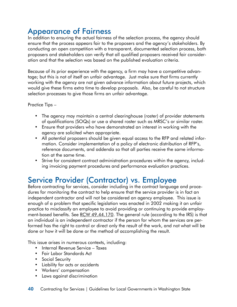# <span id="page-45-0"></span>Appearance of Fairness

In addition to ensuring the actual fairness of the selection process, the agency should ensure that the process appears fair to the proposers and the agency's stakeholders. By conducting an open competition with a transparent, documented selection process, both proposers and stakeholders can verify that all qualified proposers received fair consideration and that the selection was based on the published evaluation criteria.

Because of its prior experience with the agency, a firm may have a competitive advantage; but this is not of itself an unfair advantage. Just make sure that firms currently working with the agency are not given advance information about future projects, which would give these firms extra time to develop proposals. Also, be careful to not structure selection processes to give those firms an unfair advantage.

Practice Tips –

- The agency may maintain a central clearinghouse (roster) of provider statements of qualifications (SOQs) or use a shared roster such as MRSC's or similar roster.
- Ensure that providers who have demonstrated an interest in working with the agency are solicited when appropriate.
- All potential proposers should be given equal access to the RFP and related information. Consider implementation of a policy of electronic distribution of RFP's, reference documents, and addenda so that all parties receive the same information at the same time.
- Strive for consistent contract administration procedures within the agency, including invoicing payment procedures and performance evaluation practices.

# Service Provider (Contractor) vs. Employee

Before contracting for services, consider including in the contract language and procedures for monitoring the contract to help ensure that the service provider is in fact an independent contractor and will not be considered an agency employee. This issue is enough of a problem that specific legislation was enacted in 2002 making it an unfair practice to misclassify an employee to avoid providing or continuing to provide employment-based benefits. See [RCW 49.44.170](http://apps.leg.wa.gov/rcw/default.aspx?cite=49.44.170). The general rule (according to the IRS) is that an individual is an independent contractor if the person for whom the services are performed has the right to control or direct only the result of the work, and not what will be done or how it will be done or the method of accomplishing the result.

This issue arises in numerous contexts, including:

- Internal Revenue Service Taxes
- Fair Labor Standards Act
- Social Security
- Liability for acts or accidents
- Workers' compensation
- Laws against discrimination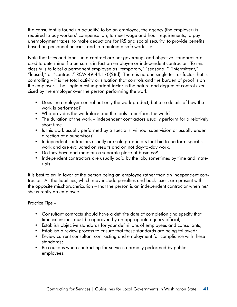If a consultant is found (in actuality) to be an employee, the agency (the employer) is required to pay workers' compensation, to meet wage and hour requirements, to pay unemployment taxes, to make deductions for IRS and social security, to provide benefits based on personnel policies, and to maintain a safe work site.

Note that titles and labels in a contract are not governing, and objective standards are used to determine if a person is in fact an employee or independent contractor. To misclassify is to label a permanent employee as "temporary," "seasonal," "intermittent," "leased," or "contract." [RCW 49.44.170\(2\)\(d\)](http://www.mrsc.org/mc/rcw/RCW%20%2049%20%20TITLE/RCW%20%2049%20.%2044%20%20CHAPTER/RCW%20%2049%20.%2044%20.170.htm). There is no one single test or factor that is controlling – it is the total activity or situation that controls and the burden of proof is on the employer. The single most important factor is the nature and degree of control exercised by the employer over the person performing the work:

- Does the employer control not only the work product, but also details of how the work is performed?
- Who provides the workplace and the tools to perform the work?
- The duration of the work independent contractors usually perform for a relatively short time.
- Is this work usually performed by a specialist without supervision or usually under direction of a supervisor?
- Independent contractors usually are sole proprietors that bid to perform specific work and are evaluated on results and on not day-to-day work.
- Do they have and maintain a separate place of business?
- Independent contractors are usually paid by the job, sometimes by time and materials.

It is best to err in favor of the person being an employee rather than an independent contractor. All the liabilities, which may include penalties and back taxes, are present with the opposite mischaracterization – that the person is an independent contractor when he/ she is really an employee.

#### Practice Tips –

- Consultant contracts should have a definite date of completion and specify that time extensions must be approved by an appropriate agency official;
- Establish objective standards for your definitions of employees and consultants;
- Establish a review process to ensure that these standards are being followed;
- Review current consultant contracting and employment for compliance with these standards;
- Be cautious when contracting for services normally performed by public employees.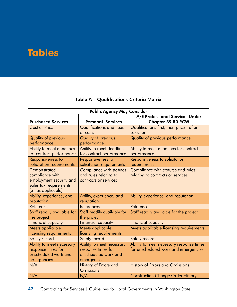# <span id="page-47-0"></span>**Tables**

#### Table A – Qualifications Criteria Matrix

| <b>Public Agency May Consider</b> |                                |                                          |  |
|-----------------------------------|--------------------------------|------------------------------------------|--|
|                                   |                                | A/E Professional Services Under          |  |
| <b>Purchased Services</b>         | <b>Personal Services</b>       | <b>Chapter 39.80 RCW</b>                 |  |
| <b>Cost or Price</b>              | <b>Qualifications and Fees</b> | Qualifications first, then price - after |  |
|                                   | or costs                       | selection                                |  |
| <b>Quality of previous</b>        | <b>Quality of previous</b>     | Quality of previous performance          |  |
| performance                       | performance                    |                                          |  |
| Ability to meet deadlines         | Ability to meet deadlines      | Ability to meet deadlines for contract   |  |
| for contract performance          | for contract performance       | performance                              |  |
| Responsiveness to                 | Responsiveness to              | Responsiveness to solicitation           |  |
| solicitation requirements         | solicitation requirements      | requirements                             |  |
| <b>Demonstrated</b>               | Compliance with statutes       | Compliance with statutes and rules       |  |
| compliance with                   | and rules relating to          | relating to contracts or services        |  |
| employment security and           | contracts or services          |                                          |  |
| sales tax requirements            |                                |                                          |  |
| (all as applicable)               |                                |                                          |  |
| Ability, experience, and          | Ability, experience, and       | Ability, experience, and reputation      |  |
| reputation                        | reputation                     |                                          |  |
| <b>References</b>                 | References                     | <b>References</b>                        |  |
| Staff readily available for       | Staff readily available for    | Staff readily available for the project  |  |
| the project                       | the project                    |                                          |  |
| <b>Financial capacity</b>         | <b>Financial capacity</b>      | <b>Financial capacity</b>                |  |
| Meets applicable                  | Meets applicable               | Meets applicable licensing requirements  |  |
| licensing requirements            | licensing requirements         |                                          |  |
| Safety record                     | Safety record                  | Safety record                            |  |
| Ability to meet necessary         | Ability to meet necessary      | Ability to meet necessary response times |  |
| response times for                | response times for             | for unscheduled work and emergencies     |  |
| unscheduled work and              | unscheduled work and           |                                          |  |
| emergencies                       | emergencies                    |                                          |  |
| N/A                               | History of Errors and          | <b>History of Errors and Omissions</b>   |  |
|                                   | <b>Omissions</b>               |                                          |  |
| N/A                               | N/A                            | <b>Construction Change Order History</b> |  |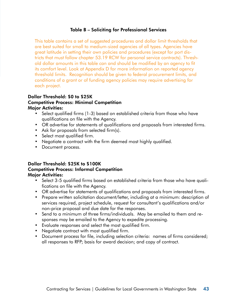#### Table B – Soliciting for Professional Services

This table contains a set of suggested procedures and dollar limit thresholds that are best suited for small to medium-sized agencies of all types. Agencies have great latitude in setting their own policies and procedures (except for port districts that must follow chapter 53.19 RCW for personal service contracts). Threshold dollar amounts in this table can and should be modified by an agency to fit its comfort level. Look at Appendix D for more information on reported agency threshold limits. Recognition should be given to federal procurement limits, and conditions of a grant or of funding agency policies may require advertising for each project.

#### Dollar Threshold: \$0 to \$25K Competitive Process: Minimal Competition Major Activities:

- Select qualified firms (1-3) based on established criteria from those who have qualifications on file with the Agency.
- OR advertise for statements of qualifications and proposals from interested firms.
- Ask for proposals from selected firm(s).
- Select most qualified firm.
- Negotiate a contract with the firm deemed most highly qualified.
- Document process.

#### Dollar Threshold: \$25K to \$100K

#### Competitive Process: Informal Competition

#### Major Activities:

- Select 3-5 qualified firms based on established criteria from those who have qualifications on file with the Agency.
- OR advertise for statements of qualifications and proposals from interested firms.
- Prepare written solicitation document/letter, including at a minimum: description of services required, project schedule, request for consultant's qualifications and/or non-price proposal and due date for the responses.
- Send to a minimum of three firms/individuals. May be emailed to them and responses may be emailed to the Agency to expedite processing.
- Evaluate responses and select the most qualified firm.
- Negotiate contract with most qualified firm.
- Document process for file, including selection criteria: names of firms considered; all responses to RFP; basis for award decision; and copy of contract.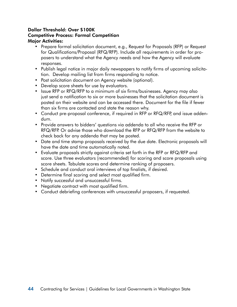#### Dollar Threshold: Over \$100K Competitive Process: Formal Competition Major Activities:

- Prepare formal solicitation document, e.g., Request for Proposals (RFP) or Request for Qualifications/Proposal (RFQ/RFP). Include all requirements in order for proposers to understand what the Agency needs and how the Agency will evaluate responses.
- Publish legal notice in major daily newspapers to notify firms of upcoming solicitation. Develop mailing list from firms responding to notice.
- Post solicitation document on Agency website (optional).
- Develop score sheets for use by evaluators.
- Issue RFP or RFQ/RFP to a minimum of six firms/businesses. Agency may also just send a notification to six or more businesses that the solicitation document is posted on their website and can be accessed there. Document for the file if fewer than six firms are contacted and state the reason why.
- Conduct pre-proposal conference, if required in RFP or RFQ/RFP, and issue addendum.
- Provide answers to bidders' questions via addenda to all who receive the RFP or RFQ/RFP. Or advise those who download the RFP or RFQ/RFP from the website to check back for any addenda that may be posted.
- Date and time stamp proposals received by the due date. Electronic proposals will have the date and time automatically noted.
- Evaluate proposals strictly against criteria set forth in the RFP or RFQ/RFP and score. Use three evaluators (recommended) for scoring and score proposals using score sheets. Tabulate scores and determine ranking of proposers.
- Schedule and conduct oral interviews of top finalists, if desired.
- Determine final scoring and select most qualified firm.
- Notify successful and unsuccessful firms.
- Negotiate contract with most qualified firm.
- Conduct debriefing conferences with unsuccessful proposers, if requested.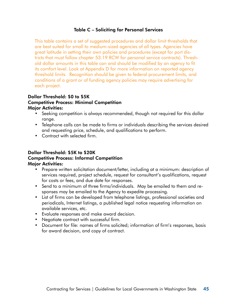#### Table C – Soliciting for Personal Services

This table contains a set of suggested procedures and dollar limit thresholds that are best suited for small to medium-sized agencies of all types. Agencies have great latitude in setting their own policies and procedures (except for port districts that must follow chapter 53.19 RCW for personal service contracts). Threshold dollar amounts in this table can and should be modified by an agency to fit its comfort level. Look at Appendix D for more information on reported agency threshold limits. Recognition should be given to federal procurement limits, and conditions of a grant or of funding agency policies may require advertising for each project.

#### Dollar Threshold: \$0 to \$5K Competitive Process: Minimal Competition Major Activities:

- Seeking competition is always recommended, though not required for this dollar range.
- Telephone calls can be made to firms or individuals describing the services desired and requesting price, schedule, and qualifications to perform.
- Contract with selected firm.

#### Dollar Threshold: \$5K to \$20K Competitive Process: Informal Competition Major Activities:

- Prepare written solicitation document/letter, including at a minimum: description of services required, project schedule, request for consultant's qualifications, request for costs or fees, and due date for responses.
- Send to a minimum of three firms/individuals. May be emailed to them and responses may be emailed to the Agency to expedite processing.
- List of firms can be developed from telephone listings, professional societies and periodicals, Internet listings, a published legal notice requesting information on available services, etc.
- Evaluate responses and make award decision.
- Negotiate contract with successful firm.
- Document for file: names of firms solicited; information of firm's responses, basis for award decision, and copy of contract.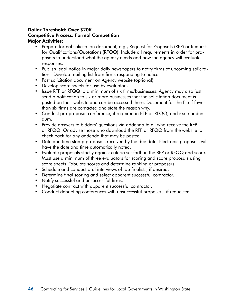#### Dollar Threshold: Over \$20K Competitive Process: Formal Competition Major Activities:

- Prepare formal solicitation document, e.g., Request for Proposals (RFP) or Request for Qualifications/Quotations (RFQQ). Include all requirements in order for proposers to understand what the agency needs and how the agency will evaluate responses.
- Publish legal notice in major daily newspapers to notify firms of upcoming solicitation. Develop mailing list from firms responding to notice.
- Post solicitation document on Agency website (optional).
- Develop score sheets for use by evaluators.
- Issue RFP or RFQQ to a minimum of six firms/businesses. Agency may also just send a notification to six or more businesses that the solicitation document is posted on their website and can be accessed there. Document for the file if fewer than six firms are contacted and state the reason why.
- Conduct pre-proposal conference, if required in RFP or RFQQ, and issue addendum.
- Provide answers to bidders' questions via addenda to all who receive the RFP or RFQQ. Or advise those who download the RFP or RFQQ from the website to check back for any addenda that may be posted.
- Date and time stamp proposals received by the due date. Electronic proposals will have the date and time automatically noted.
- Evaluate proposals strictly against criteria set forth in the RFP or RFQQ and score. Must use a minimum of three evaluators for scoring and score proposals using score sheets. Tabulate scores and determine ranking of proposers.
- Schedule and conduct oral interviews of top finalists, if desired.
- Determine final scoring and select apparent successful contractor.
- Notify successful and unsuccessful firms.
- Negotiate contract with apparent successful contractor.
- Conduct debriefing conferences with unsuccessful proposers, if requested.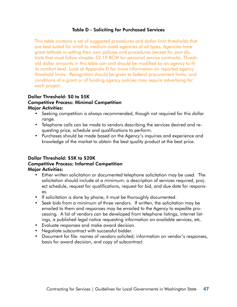#### Table D - Soliciting for Purchased Services

This table contains a set of suggested procedures and dollar limit thresholds that are best suited for small to medium-sized agencies of all types. Agencies have great latitude in setting their own policies and procedures (except for port districts that must follow chapter 53.19 RCW for personal service contracts). Threshold dollar amounts in this table can and should be modified by an agency to fit its comfort level. Look at Appendix D for more information on reported agency threshold limits. Recognition should be given to federal procurement limits, and conditions of a grant or of funding agency policies may require advertising for each project.

#### Dollar Threshold: \$0 to \$5K Competitive Process: Minimal Competition Major Activities:

- Seeking competition is always recommended, though not required for this dollar range.
- Telephone calls can be made to vendors describing the services desired and requesting price, schedule and qualifications to perform.
- Purchases should be made based on the Agency's inquiries and experience and knowledge of the market to obtain the best quality product at the best price.

#### Dollar Threshold: \$5K to \$20K Competitive Process: Informal Competition Major Activities:

- Either written solicitation or documented telephone solicitation may be used. The solicitation should include at a minimum: a description of services required, project schedule, request for qualifications, request for bid, and due date for responses.
- If solicitation is done by phone, it must be thoroughly documented.
- Seek bids from a minimum of three vendors. If written, the solicitation may be emailed to them and responses may be emailed to the Agency to expedite processing. A list of vendors can be developed from telephone listings, internet listings, a published legal notice requesting information on available services, etc.
- Evaluate responses and make award decision.
- Negotiate subcontract with successful bidder.
- Document for file: names of vendors solicited; information on vendor's responses, basis for award decision, and copy of subcontract.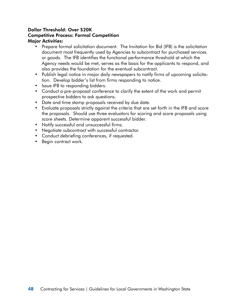#### Dollar Threshold: Over \$20K Competitive Process: Formal Competition Major Activities:

- Prepare formal solicitation document. The Invitation for Bid (IFB) is the solicitation document most frequently used by Agencies to subcontract for purchased services or goods. The IFB identifies the functional performance threshold at which the Agency needs would be met, serves as the basis for the applicants to respond, and also provides the foundation for the eventual subcontract.
- Publish legal notice in major daily newspapers to notify firms of upcoming solicitation. Develop bidder's list from firms responding to notice.
- Issue IFB to responding bidders.
- Conduct a pre-proposal conference to clarify the extent of the work and permit prospective bidders to ask questions.
- Date and time stamp proposals received by due date.
- Evaluate proposals strictly against the criteria that are set forth in the IFB and score the proposals. Should use three evaluators for scoring and score proposals using score sheets. Determine apparent successful bidder.
- Notify successful and unsuccessful firms.
- Negotiate subcontract with successful contractor.
- Conduct debriefing conferences, if requested.
- Begin contract work.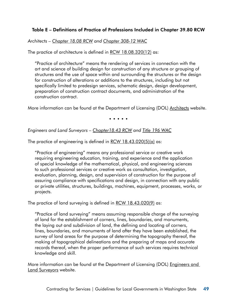#### Table E – Definitions of Practice of Professions Included in Chapter 39.80 RCW

*Architects – [Chapter 18.08 RCW](http://apps.leg.wa.gov/rcw/default.aspx?cite=18.08) and [Chapter 308-12](http://apps.leg.wa.gov/WAC/default.aspx?cite=308-12) WAC*

The practice of architecture is defined in [RCW 18.08.320](http://apps.leg.wa.gov/rcw/default.aspx?cite=18.08.320)(12) as:

"Practice of architecture" means the rendering of services in connection with the art and science of building design for construction of any structure or grouping of structures and the use of space within and surrounding the structures or the design for construction of alterations or additions to the structures, including but not specifically limited to predesign services, schematic design, design development, preparation of construction contract documents, and administration of the construction contract.

More information can be found at the Department of Licensing (DOL) [Architects](http://www.dol.wa.gov/business/architects/) website.

• • • • •

#### *Engineers and Land Surveyors – [Chapter18.43 RCW](http://apps.leg.wa.gov/rcw/default.aspx?cite=18.43) and [Title 196 WAC](http://apps.leg.wa.gov/wac/default.aspx?cite=196)*

The practice of engineering is defined in [RCW 18.43.020\(5\)\(a\)](http://apps.leg.wa.gov/rcw/default.aspx?cite=18.43.020) as:

"Practice of engineering" means any professional service or creative work requiring engineering education, training, and experience and the application of special knowledge of the mathematical, physical, and engineering sciences to such professional services or creative work as consultation, investigation, evaluation, planning, design, and supervision of construction for the purpose of assuring compliance with specifications and design, in connection with any public or private utilities, structures, buildings, machines, equipment, processes, works, or projects.

The practice of land surveying is defined in [RCW 18.43.020\(9\)](http://apps.leg.wa.gov/rcw/default.aspx?cite=18.43.020) as:

"Practice of land surveying" means assuming responsible charge of the surveying of land for the establishment of corners, lines, boundaries, and monuments, the laying out and subdivision of land, the defining and locating of corners, lines, boundaries, and monuments of land after they have been established, the survey of land areas for the purpose of determining the topography thereof, the making of topographical delineations and the preparing of maps and accurate records thereof, when the proper performance of such services requires technical knowledge and skill.

More information can be found at the Department of Licensing (DOL) [Engineers and](http://www.dol.wa.gov/business/engineerslandsurveyors/)  [Land Surveyors](http://www.dol.wa.gov/business/engineerslandsurveyors/) website.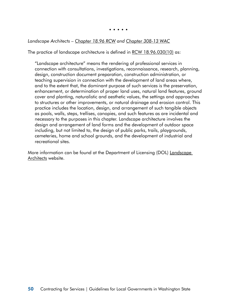• • • • •

#### *Landscape Architects – [Chapter 18.96 RCW](http://apps.leg.wa.gov/rcw/default.aspx?cite=18.96) and [Chapter 308-13](http://apps.leg.wa.gov/WAC/default.aspx?cite=308-13) WAC*

The practice of landscape architecture is defined in [RCW 18.96.030](http://apps.leg.wa.gov/RCW/default.aspx?cite=18.96.030)(10) as:

"Landscape architecture" means the rendering of professional services in connection with consultations, investigations, reconnaissance, research, planning, design, construction document preparation, construction administration, or teaching supervision in connection with the development of land areas where, and to the extent that, the dominant purpose of such services is the preservation, enhancement, or determination of proper land uses, natural land features, ground cover and planting, naturalistic and aesthetic values, the settings and approaches to structures or other improvements, or natural drainage and erosion control. This practice includes the location, design, and arrangement of such tangible objects as pools, walls, steps, trellises, canopies, and such features as are incidental and necessary to the purposes in this chapter. Landscape architecture involves the design and arrangement of land forms and the development of outdoor space including, but not limited to, the design of public parks, trails, playgrounds, cemeteries, home and school grounds, and the development of industrial and recreational sites.

More information can be found at the Department of Licensing (DOL) Landscape [Architects](http://www.dol.wa.gov/business/landscapearchitects/lalawsrules.html) website.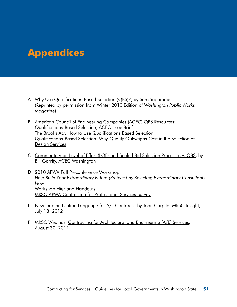# <span id="page-56-0"></span>**Appendices**

- A [Why Use Qualifications-Based Selection \(QBS\)?, by Sam Yaghmaie](http://www.apwa-wa.org/uploads/forums/QBS%20Newsmagazine%20Article.pdf) (Reprinted by permission from Winter 2010 Edition of *Washington Public Works Magazine*)
- B American Council of Engineering Companies (ACEC) QBS Resources: [Qualifications-Based Selection,](http://www.acec.org/advocacy/committees/pdf/qbsccd04.pdf) ACEC Issue Brief [The Brooks Act: How to Use Qualifications Based Selection](http://www.acec.org/advocacy/committees/brooks2.cfm) [Qualifications-Based Selection: Why Quality Outweighs Cost in the Selection of](http://www.acec.org/advocacy/committees/ppt/acec_qbs_pres1.ppt)  [Design Services](http://www.acec.org/advocacy/committees/ppt/acec_qbs_pres1.ppt)
- C [Commentary on Level of Effort \(LOE\) and Sealed Bid Selection Processes v. QBS](http://apwawaorg.adhost-temp.com/Uploads/zzz%20Parked%20Files/Appendix%20C%20Commentary%20on%20LOE%20and%20Sealed%20Bid%20selection%20processes%20for%20A.pdf), by Bill Garrity, ACEC Washington
- D 2010 APWA Fall Preconference Workshop *Help Build Your Extraordinary Future (Projects) by Selecting Extraordinary Consultants Now* [Workshop Flier and Handouts](http://www.apwa-wa.org/forums/2010%20Fall%20Preconference%20Workshop%20-%20Handouts.pdf) [MRSC-APWA Contracting for Professional Services Survey](http://www.apwa-wa.org/forums/MRSC-APWA%202010%20Professional%20Services%20Survey%20-%20Final.pdf)
- E [New Indemnification Language for A/E Contracts](http://insight.mrsc.org/2012/07/18/new-indemnification-language-for-ae-contracts/), by John Carpita, MRSC Insight, July 18, 2012
- F MRSC Webinar: [Contracting for Architectural and Engineering \(A/E\) Services,](http://www.mrsc.org/webinar/mrsclive006.aspx) August 30, 2011